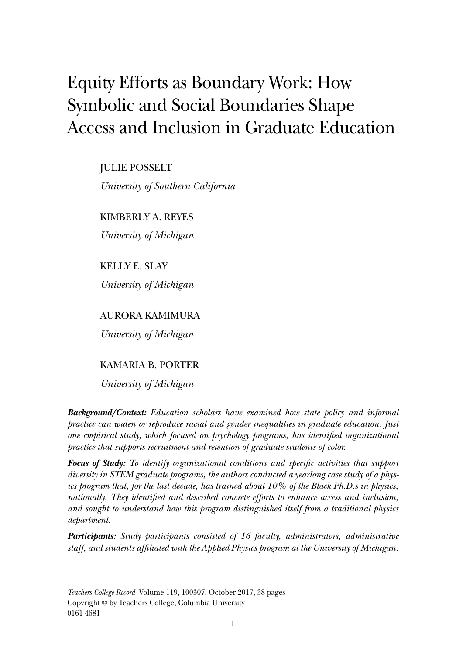# Equity Efforts as Boundary Work: How Symbolic and Social Boundaries Shape Access and Inclusion in Graduate Education

JULIE POSSELT

*University of Southern California*

KIMBERLY A. REYES

*University of Michigan*

KELLY E. SLAY

*University of Michigan*

AURORA KAMIMURA

*University of Michigan*

# KAMARIA B. PORTER

*University of Michigan*

*Background/Context: Education scholars have examined how state policy and informal practice can widen or reproduce racial and gender inequalities in graduate education. Just one empirical study, which focused on psychology programs, has identified organizational practice that supports recruitment and retention of graduate students of color.*

*Focus of Study: To identify organizational conditions and specific activities that support diversity in STEM graduate programs, the authors conducted a yearlong case study of a physics program that, for the last decade, has trained about 10% of the Black Ph.D.s in physics, nationally. They identified and described concrete efforts to enhance access and inclusion, and sought to understand how this program distinguished itself from a traditional physics department.*

*Participants: Study participants consisted of 16 faculty, administrators, administrative staff, and students affiliated with the Applied Physics program at the University of Michigan.*

*Teachers College Record* Volume 119, 100307, October 2017, 38 pages Copyright © by Teachers College, Columbia University 0161-4681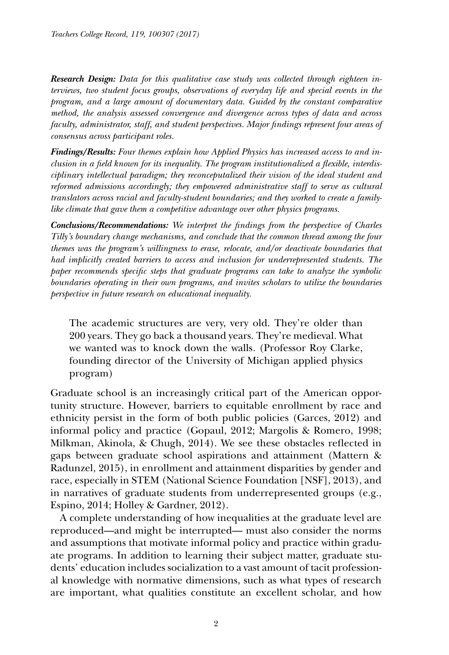*Research Design: Data for this qualitative case study was collected through eighteen interviews, two student focus groups, observations of everyday life and special events in the program, and a large amount of documentary data. Guided by the constant comparative method, the analysis assessed convergence and divergence across types of data and across faculty, administrator, staff, and student perspectives. Major findings represent four areas of consensus across participant roles.*

*Findings/Results: Four themes explain how Applied Physics has increased access to and inclusion in a field known for its inequality. The program institutionalized a flexible, interdisciplinary intellectual paradigm; they reconceputalized their vision of the ideal student and reformed admissions accordingly; they empowered administrative staff to serve as cultural translators across racial and faculty-student boundaries; and they worked to create a familylike climate that gave them a competitive advantage over other physics programs.*

*Conclusions/Recommendations: We interpret the findings from the perspective of Charles Tilly's boundary change mechanisms, and conclude that the common thread among the four themes was the program's willingness to erase, relocate, and/or deactivate boundaries that had implicitly created barriers to access and inclusion for underrepresented students. The paper recommends specific steps that graduate programs can take to analyze the symbolic boundaries operating in their own programs, and invites scholars to utilize the boundaries perspective in future research on educational inequality.*

The academic structures are very, very old. They're older than 200 years. They go back a thousand years. They're medieval. What we wanted was to knock down the walls*.* (Professor Roy Clarke, founding director of the University of Michigan applied physics program)

Graduate school is an increasingly critical part of the American opportunity structure. However, barriers to equitable enrollment by race and ethnicity persist in the form of both public policies (Garces, 2012) and informal policy and practice (Gopaul, 2012; Margolis & Romero, 1998; Milkman, Akinola, & Chugh, 2014). We see these obstacles reflected in gaps between graduate school aspirations and attainment (Mattern & Radunzel, 2015), in enrollment and attainment disparities by gender and race, especially in STEM (National Science Foundation [NSF], 2013), and in narratives of graduate students from underrepresented groups (e.g., Espino, 2014; Holley & Gardner, 2012).

A complete understanding of how inequalities at the graduate level are reproduced—and might be interrupted— must also consider the norms and assumptions that motivate informal policy and practice within graduate programs. In addition to learning their subject matter, graduate students' education includes socialization to a vast amount of tacit professional knowledge with normative dimensions, such as what types of research are important, what qualities constitute an excellent scholar, and how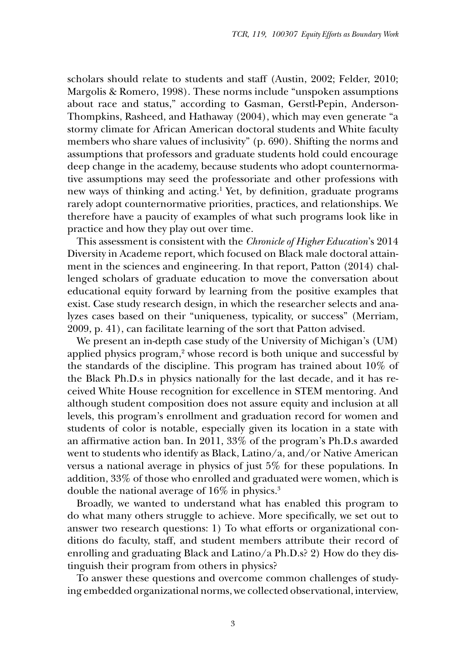scholars should relate to students and staff (Austin, 2002; Felder, 2010; Margolis & Romero, 1998). These norms include "unspoken assumptions about race and status," according to Gasman, Gerstl-Pepin, Anderson-Thompkins, Rasheed, and Hathaway (2004), which may even generate "a stormy climate for African American doctoral students and White faculty members who share values of inclusivity" (p. 690). Shifting the norms and assumptions that professors and graduate students hold could encourage deep change in the academy, because students who adopt counternormative assumptions may seed the professoriate and other professions with new ways of thinking and acting.<sup>1</sup> Yet, by definition, graduate programs rarely adopt counternormative priorities, practices, and relationships. We therefore have a paucity of examples of what such programs look like in practice and how they play out over time.

This assessment is consistent with the *Chronicle of Higher Education*'s 2014 Diversity in Academe report, which focused on Black male doctoral attainment in the sciences and engineering. In that report, Patton (2014) challenged scholars of graduate education to move the conversation about educational equity forward by learning from the positive examples that exist. Case study research design, in which the researcher selects and analyzes cases based on their "uniqueness, typicality, or success" (Merriam, 2009, p. 41), can facilitate learning of the sort that Patton advised.

We present an in-depth case study of the University of Michigan's (UM) applied physics program,<sup>2</sup> whose record is both unique and successful by the standards of the discipline. This program has trained about 10% of the Black Ph.D.s in physics nationally for the last decade, and it has received White House recognition for excellence in STEM mentoring. And although student composition does not assure equity and inclusion at all levels, this program's enrollment and graduation record for women and students of color is notable, especially given its location in a state with an affirmative action ban. In 2011, 33% of the program's Ph.D.s awarded went to students who identify as Black, Latino/a, and/or Native American versus a national average in physics of just 5% for these populations. In addition, 33% of those who enrolled and graduated were women, which is double the national average of 16% in physics.3

Broadly, we wanted to understand what has enabled this program to do what many others struggle to achieve. More specifically, we set out to answer two research questions: 1) To what efforts or organizational conditions do faculty, staff, and student members attribute their record of enrolling and graduating Black and Latino/a Ph.D.s? 2) How do they distinguish their program from others in physics?

To answer these questions and overcome common challenges of studying embedded organizational norms, we collected observational, interview,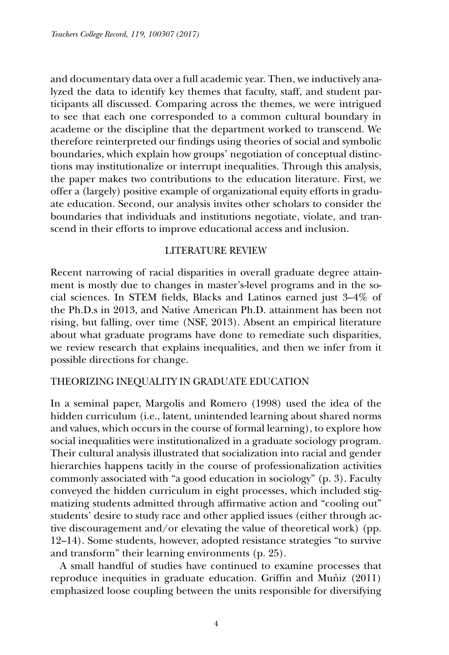and documentary data over a full academic year. Then, we inductively analyzed the data to identify key themes that faculty, staff, and student participants all discussed. Comparing across the themes, we were intrigued to see that each one corresponded to a common cultural boundary in academe or the discipline that the department worked to transcend. We therefore reinterpreted our findings using theories of social and symbolic boundaries, which explain how groups' negotiation of conceptual distinctions may institutionalize or interrupt inequalities. Through this analysis, the paper makes two contributions to the education literature. First, we offer a (largely) positive example of organizational equity efforts in graduate education. Second, our analysis invites other scholars to consider the boundaries that individuals and institutions negotiate, violate, and transcend in their efforts to improve educational access and inclusion.

#### LITERATURE REVIEW

Recent narrowing of racial disparities in overall graduate degree attainment is mostly due to changes in master's-level programs and in the social sciences. In STEM fields, Blacks and Latinos earned just 3–4% of the Ph.D.s in 2013, and Native American Ph.D. attainment has been not rising, but falling, over time (NSF, 2013). Absent an empirical literature about what graduate programs have done to remediate such disparities, we review research that explains inequalities, and then we infer from it possible directions for change.

#### THEORIZING INEQUALITY IN GRADUATE EDUCATION

In a seminal paper, Margolis and Romero (1998) used the idea of the hidden curriculum (i.e., latent, unintended learning about shared norms and values, which occurs in the course of formal learning), to explore how social inequalities were institutionalized in a graduate sociology program. Their cultural analysis illustrated that socialization into racial and gender hierarchies happens tacitly in the course of professionalization activities commonly associated with "a good education in sociology" (p. 3). Faculty conveyed the hidden curriculum in eight processes, which included stigmatizing students admitted through affirmative action and "cooling out" students' desire to study race and other applied issues (either through active discouragement and/or elevating the value of theoretical work) (pp. 12–14). Some students, however, adopted resistance strategies "to survive and transform" their learning environments (p. 25).

A small handful of studies have continued to examine processes that reproduce inequities in graduate education. Griffin and Muñiz (2011) emphasized loose coupling between the units responsible for diversifying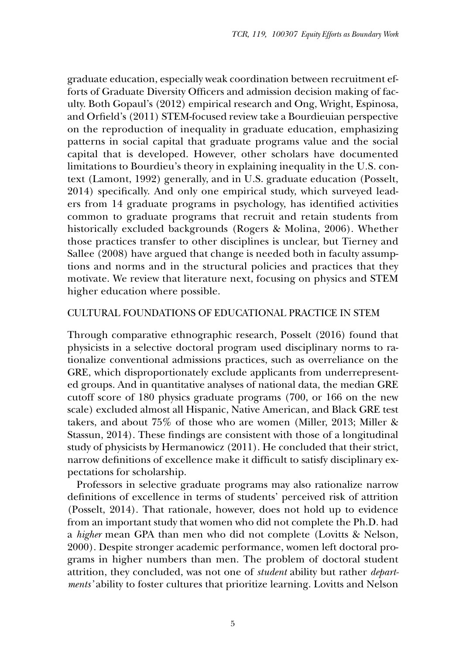graduate education, especially weak coordination between recruitment efforts of Graduate Diversity Officers and admission decision making of faculty. Both Gopaul's (2012) empirical research and Ong, Wright, Espinosa, and Orfield's (2011) STEM-focused review take a Bourdieuian perspective on the reproduction of inequality in graduate education, emphasizing patterns in social capital that graduate programs value and the social capital that is developed. However, other scholars have documented limitations to Bourdieu's theory in explaining inequality in the U.S. context (Lamont, 1992) generally, and in U.S. graduate education (Posselt, 2014) specifically. And only one empirical study, which surveyed leaders from 14 graduate programs in psychology, has identified activities common to graduate programs that recruit and retain students from historically excluded backgrounds (Rogers & Molina, 2006). Whether those practices transfer to other disciplines is unclear, but Tierney and Sallee (2008) have argued that change is needed both in faculty assumptions and norms and in the structural policies and practices that they motivate. We review that literature next, focusing on physics and STEM higher education where possible.

#### CULTURAL FOUNDATIONS OF EDUCATIONAL PRACTICE IN STEM

Through comparative ethnographic research, Posselt (2016) found that physicists in a selective doctoral program used disciplinary norms to rationalize conventional admissions practices, such as overreliance on the GRE, which disproportionately exclude applicants from underrepresented groups. And in quantitative analyses of national data, the median GRE cutoff score of 180 physics graduate programs (700, or 166 on the new scale) excluded almost all Hispanic, Native American, and Black GRE test takers, and about 75% of those who are women (Miller, 2013; Miller & Stassun, 2014). These findings are consistent with those of a longitudinal study of physicists by Hermanowicz (2011). He concluded that their strict, narrow definitions of excellence make it difficult to satisfy disciplinary expectations for scholarship.

Professors in selective graduate programs may also rationalize narrow definitions of excellence in terms of students' perceived risk of attrition (Posselt, 2014). That rationale, however, does not hold up to evidence from an important study that women who did not complete the Ph.D. had a *higher* mean GPA than men who did not complete (Lovitts & Nelson, 2000). Despite stronger academic performance, women left doctoral programs in higher numbers than men. The problem of doctoral student attrition, they concluded, was not one of *student* ability but rather *departments'* ability to foster cultures that prioritize learning. Lovitts and Nelson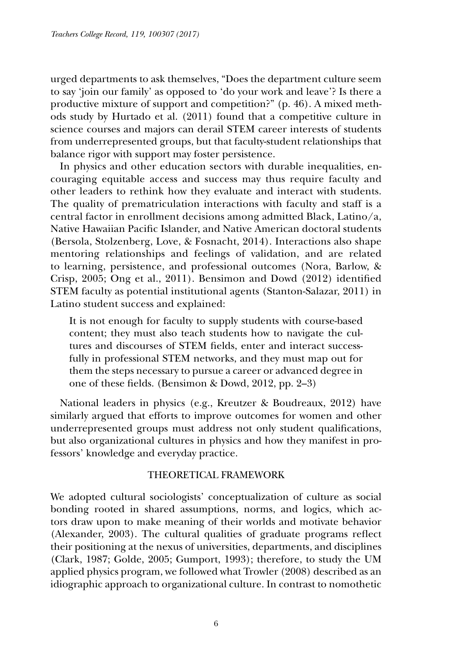urged departments to ask themselves, "Does the department culture seem to say 'join our family' as opposed to 'do your work and leave'? Is there a productive mixture of support and competition?" (p. 46). A mixed methods study by Hurtado et al. (2011) found that a competitive culture in science courses and majors can derail STEM career interests of students from underrepresented groups, but that faculty-student relationships that balance rigor with support may foster persistence.

In physics and other education sectors with durable inequalities, encouraging equitable access and success may thus require faculty and other leaders to rethink how they evaluate and interact with students. The quality of prematriculation interactions with faculty and staff is a central factor in enrollment decisions among admitted Black, Latino/a, Native Hawaiian Pacific Islander, and Native American doctoral students (Bersola, Stolzenberg, Love, & Fosnacht, 2014). Interactions also shape mentoring relationships and feelings of validation, and are related to learning, persistence, and professional outcomes (Nora, Barlow, & Crisp, 2005; Ong et al., 2011). Bensimon and Dowd (2012) identified STEM faculty as potential institutional agents (Stanton-Salazar, 2011) in Latino student success and explained:

It is not enough for faculty to supply students with course-based content; they must also teach students how to navigate the cultures and discourses of STEM fields, enter and interact successfully in professional STEM networks, and they must map out for them the steps necessary to pursue a career or advanced degree in one of these fields. (Bensimon & Dowd, 2012, pp. 2–3)

National leaders in physics (e.g., Kreutzer & Boudreaux, 2012) have similarly argued that efforts to improve outcomes for women and other underrepresented groups must address not only student qualifications, but also organizational cultures in physics and how they manifest in professors' knowledge and everyday practice.

#### THEORETICAL FRAMEWORK

We adopted cultural sociologists' conceptualization of culture as social bonding rooted in shared assumptions, norms, and logics, which actors draw upon to make meaning of their worlds and motivate behavior (Alexander, 2003). The cultural qualities of graduate programs reflect their positioning at the nexus of universities, departments, and disciplines (Clark, 1987; Golde, 2005; Gumport, 1993); therefore, to study the UM applied physics program, we followed what Trowler (2008) described as an idiographic approach to organizational culture. In contrast to nomothetic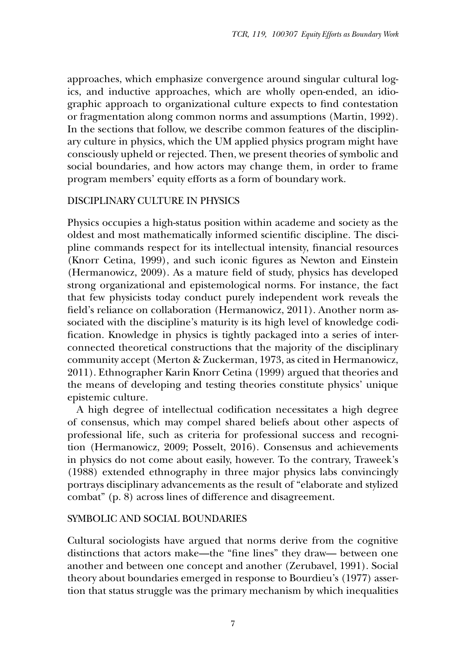approaches, which emphasize convergence around singular cultural logics, and inductive approaches, which are wholly open-ended, an idiographic approach to organizational culture expects to find contestation or fragmentation along common norms and assumptions (Martin, 1992). In the sections that follow, we describe common features of the disciplinary culture in physics, which the UM applied physics program might have consciously upheld or rejected. Then, we present theories of symbolic and social boundaries, and how actors may change them, in order to frame program members' equity efforts as a form of boundary work.

#### DISCIPLINARY CULTURE IN PHYSICS

Physics occupies a high-status position within academe and society as the oldest and most mathematically informed scientific discipline. The discipline commands respect for its intellectual intensity, financial resources (Knorr Cetina, 1999), and such iconic figures as Newton and Einstein (Hermanowicz, 2009). As a mature field of study, physics has developed strong organizational and epistemological norms. For instance, the fact that few physicists today conduct purely independent work reveals the field's reliance on collaboration (Hermanowicz, 2011). Another norm associated with the discipline's maturity is its high level of knowledge codification. Knowledge in physics is tightly packaged into a series of interconnected theoretical constructions that the majority of the disciplinary community accept (Merton & Zuckerman, 1973, as cited in Hermanowicz, 2011). Ethnographer Karin Knorr Cetina (1999) argued that theories and the means of developing and testing theories constitute physics' unique epistemic culture.

A high degree of intellectual codification necessitates a high degree of consensus, which may compel shared beliefs about other aspects of professional life, such as criteria for professional success and recognition (Hermanowicz, 2009; Posselt, 2016). Consensus and achievements in physics do not come about easily, however. To the contrary, Traweek's (1988) extended ethnography in three major physics labs convincingly portrays disciplinary advancements as the result of "elaborate and stylized combat" (p. 8) across lines of difference and disagreement.

#### SYMBOLIC AND SOCIAL BOUNDARIES

Cultural sociologists have argued that norms derive from the cognitive distinctions that actors make—the "fine lines" they draw— between one another and between one concept and another (Zerubavel, 1991). Social theory about boundaries emerged in response to Bourdieu's (1977) assertion that status struggle was the primary mechanism by which inequalities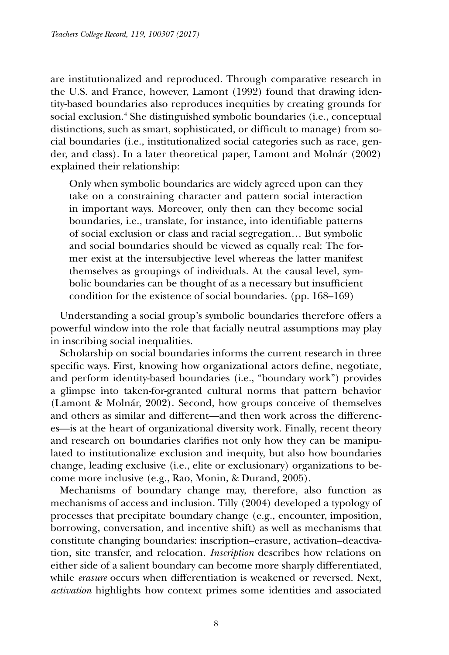are institutionalized and reproduced. Through comparative research in the U.S. and France, however, Lamont (1992) found that drawing identity-based boundaries also reproduces inequities by creating grounds for social exclusion.4 She distinguished symbolic boundaries (i.e., conceptual distinctions, such as smart, sophisticated, or difficult to manage) from social boundaries (i.e., institutionalized social categories such as race, gender, and class). In a later theoretical paper, Lamont and Molnár (2002) explained their relationship:

Only when symbolic boundaries are widely agreed upon can they take on a constraining character and pattern social interaction in important ways. Moreover, only then can they become social boundaries, i.e., translate, for instance, into identifiable patterns of social exclusion or class and racial segregation… But symbolic and social boundaries should be viewed as equally real: The former exist at the intersubjective level whereas the latter manifest themselves as groupings of individuals. At the causal level, symbolic boundaries can be thought of as a necessary but insufficient condition for the existence of social boundaries. (pp. 168–169)

Understanding a social group's symbolic boundaries therefore offers a powerful window into the role that facially neutral assumptions may play in inscribing social inequalities.

Scholarship on social boundaries informs the current research in three specific ways. First, knowing how organizational actors define, negotiate, and perform identity-based boundaries (i.e., "boundary work") provides a glimpse into taken-for-granted cultural norms that pattern behavior (Lamont & Molnár, 2002). Second, how groups conceive of themselves and others as similar and different—and then work across the differences—is at the heart of organizational diversity work. Finally, recent theory and research on boundaries clarifies not only how they can be manipulated to institutionalize exclusion and inequity, but also how boundaries change, leading exclusive (i.e., elite or exclusionary) organizations to become more inclusive (e.g., Rao, Monin, & Durand, 2005).

Mechanisms of boundary change may, therefore, also function as mechanisms of access and inclusion. Tilly (2004) developed a typology of processes that precipitate boundary change (e.g., encounter, imposition, borrowing, conversation, and incentive shift) as well as mechanisms that constitute changing boundaries: inscription–erasure, activation–deactivation, site transfer, and relocation. *Inscription* describes how relations on either side of a salient boundary can become more sharply differentiated, while *erasure* occurs when differentiation is weakened or reversed. Next, *activation* highlights how context primes some identities and associated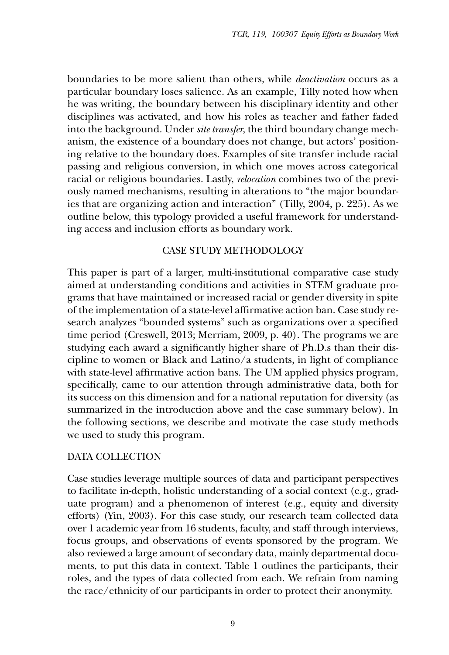boundaries to be more salient than others, while *deactivation* occurs as a particular boundary loses salience. As an example, Tilly noted how when he was writing, the boundary between his disciplinary identity and other disciplines was activated, and how his roles as teacher and father faded into the background. Under *site transfer*, the third boundary change mechanism, the existence of a boundary does not change, but actors' positioning relative to the boundary does. Examples of site transfer include racial passing and religious conversion, in which one moves across categorical racial or religious boundaries. Lastly, *relocation* combines two of the previously named mechanisms, resulting in alterations to "the major boundaries that are organizing action and interaction" (Tilly, 2004, p. 225). As we outline below, this typology provided a useful framework for understanding access and inclusion efforts as boundary work.

# CASE STUDY METHODOLOGY

This paper is part of a larger, multi-institutional comparative case study aimed at understanding conditions and activities in STEM graduate programs that have maintained or increased racial or gender diversity in spite of the implementation of a state-level affirmative action ban. Case study research analyzes "bounded systems" such as organizations over a specified time period (Creswell, 2013; Merriam, 2009, p. 40). The programs we are studying each award a significantly higher share of Ph.D.s than their discipline to women or Black and Latino/a students, in light of compliance with state-level affirmative action bans. The UM applied physics program, specifically, came to our attention through administrative data, both for its success on this dimension and for a national reputation for diversity (as summarized in the introduction above and the case summary below). In the following sections, we describe and motivate the case study methods we used to study this program.

# DATA COLLECTION

Case studies leverage multiple sources of data and participant perspectives to facilitate in-depth, holistic understanding of a social context (e.g., graduate program) and a phenomenon of interest (e.g., equity and diversity efforts) (Yin, 2003). For this case study, our research team collected data over 1 academic year from 16 students, faculty, and staff through interviews, focus groups, and observations of events sponsored by the program. We also reviewed a large amount of secondary data, mainly departmental documents, to put this data in context. Table 1 outlines the participants, their roles, and the types of data collected from each. We refrain from naming the race/ethnicity of our participants in order to protect their anonymity.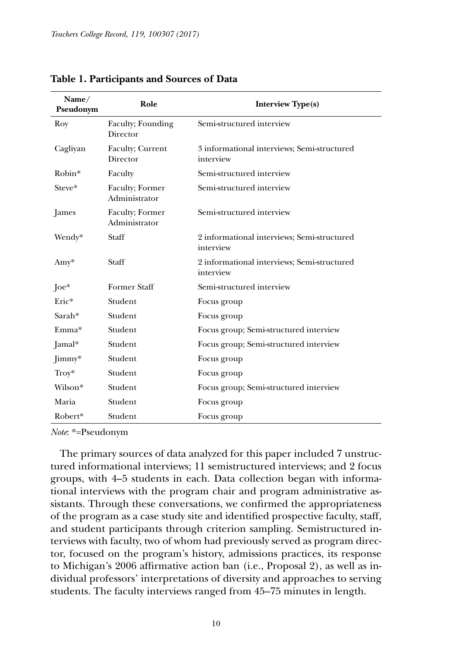| Name/<br>Pseudonym  | Role                             | <b>Interview Type(s)</b>                                 |
|---------------------|----------------------------------|----------------------------------------------------------|
| Roy                 | Faculty; Founding<br>Director    | Semi-structured interview                                |
| Cagliyan            | Faculty; Current<br>Director     | 3 informational interviews: Semi-structured<br>interview |
| Robin*              | Faculty                          | Semi-structured interview                                |
| Steve*              | Faculty; Former<br>Administrator | Semi-structured interview                                |
| James               | Faculty; Former<br>Administrator | Semi-structured interview                                |
| Wendy*              | Staff                            | 2 informational interviews; Semi-structured<br>interview |
| Amy*                | Staff                            | 2 informational interviews; Semi-structured<br>interview |
| [0.1]               | <b>Former Staff</b>              | Semi-structured interview                                |
| Eric*               | Student                          | Focus group                                              |
| Sarah*              | Student                          | Focus group                                              |
| Emma*               | Student                          | Focus group; Semi-structured interview                   |
| Jamal*              | Student                          | Focus group; Semi-structured interview                   |
| $\lim_{\text{my*}}$ | Student                          | Focus group                                              |
| $Troy*$             | Student                          | Focus group                                              |
| Wilson*             | Student                          | Focus group; Semi-structured interview                   |
| Maria               | Student                          | Focus group                                              |
| Robert*             | Student                          | Focus group                                              |

**Table 1. Participants and Sources of Data**

*Note*: \*=Pseudonym

The primary sources of data analyzed for this paper included 7 unstructured informational interviews; 11 semistructured interviews; and 2 focus groups, with 4–5 students in each. Data collection began with informational interviews with the program chair and program administrative assistants. Through these conversations, we confirmed the appropriateness of the program as a case study site and identified prospective faculty, staff, and student participants through criterion sampling. Semistructured interviews with faculty, two of whom had previously served as program director, focused on the program's history, admissions practices, its response to Michigan's 2006 affirmative action ban (i.e., Proposal 2), as well as individual professors' interpretations of diversity and approaches to serving students. The faculty interviews ranged from 45–75 minutes in length.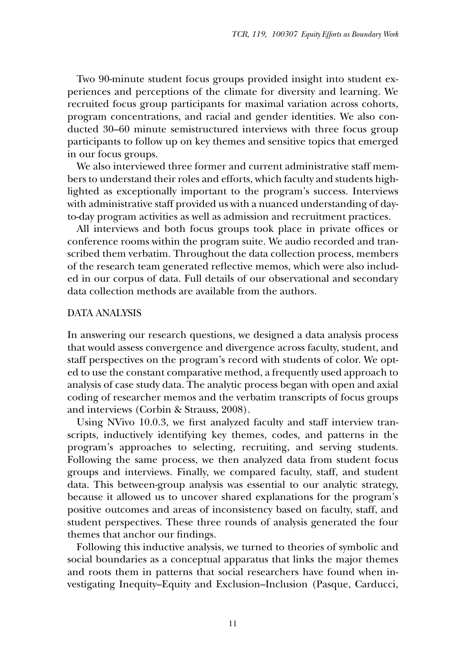Two 90-minute student focus groups provided insight into student experiences and perceptions of the climate for diversity and learning. We recruited focus group participants for maximal variation across cohorts, program concentrations, and racial and gender identities. We also conducted 30–60 minute semistructured interviews with three focus group participants to follow up on key themes and sensitive topics that emerged in our focus groups.

We also interviewed three former and current administrative staff members to understand their roles and efforts, which faculty and students highlighted as exceptionally important to the program's success. Interviews with administrative staff provided us with a nuanced understanding of dayto-day program activities as well as admission and recruitment practices.

All interviews and both focus groups took place in private offices or conference rooms within the program suite. We audio recorded and transcribed them verbatim. Throughout the data collection process, members of the research team generated reflective memos, which were also included in our corpus of data. Full details of our observational and secondary data collection methods are available from the authors.

#### DATA ANALYSIS

In answering our research questions, we designed a data analysis process that would assess convergence and divergence across faculty, student, and staff perspectives on the program's record with students of color. We opted to use the constant comparative method, a frequently used approach to analysis of case study data. The analytic process began with open and axial coding of researcher memos and the verbatim transcripts of focus groups and interviews (Corbin & Strauss, 2008).

Using NVivo 10.0.3, we first analyzed faculty and staff interview transcripts, inductively identifying key themes, codes, and patterns in the program's approaches to selecting, recruiting, and serving students. Following the same process, we then analyzed data from student focus groups and interviews. Finally, we compared faculty, staff, and student data. This between-group analysis was essential to our analytic strategy, because it allowed us to uncover shared explanations for the program's positive outcomes and areas of inconsistency based on faculty, staff, and student perspectives. These three rounds of analysis generated the four themes that anchor our findings.

Following this inductive analysis, we turned to theories of symbolic and social boundaries as a conceptual apparatus that links the major themes and roots them in patterns that social researchers have found when investigating Inequity–Equity and Exclusion–Inclusion (Pasque, Carducci,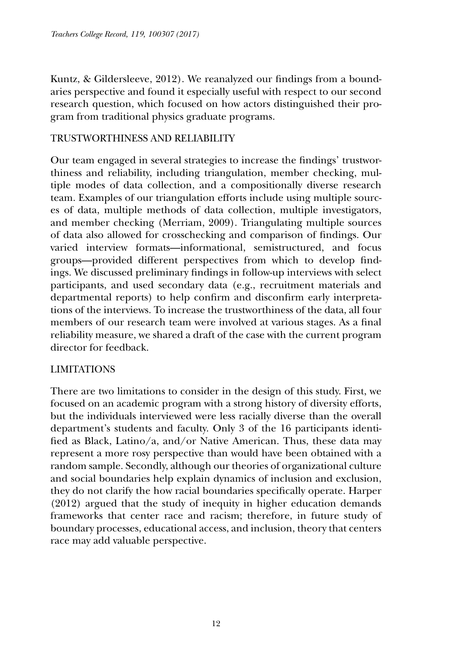Kuntz, & Gildersleeve, 2012). We reanalyzed our findings from a boundaries perspective and found it especially useful with respect to our second research question, which focused on how actors distinguished their program from traditional physics graduate programs.

# TRUSTWORTHINESS AND RELIABILITY

Our team engaged in several strategies to increase the findings' trustworthiness and reliability, including triangulation, member checking, multiple modes of data collection, and a compositionally diverse research team. Examples of our triangulation efforts include using multiple sources of data, multiple methods of data collection, multiple investigators, and member checking (Merriam, 2009). Triangulating multiple sources of data also allowed for crosschecking and comparison of findings. Our varied interview formats—informational, semistructured, and focus groups—provided different perspectives from which to develop findings. We discussed preliminary findings in follow-up interviews with select participants, and used secondary data (e.g., recruitment materials and departmental reports) to help confirm and disconfirm early interpretations of the interviews. To increase the trustworthiness of the data, all four members of our research team were involved at various stages. As a final reliability measure, we shared a draft of the case with the current program director for feedback.

# LIMITATIONS

There are two limitations to consider in the design of this study. First, we focused on an academic program with a strong history of diversity efforts, but the individuals interviewed were less racially diverse than the overall department's students and faculty. Only 3 of the 16 participants identified as Black, Latino/a, and/or Native American. Thus, these data may represent a more rosy perspective than would have been obtained with a random sample. Secondly, although our theories of organizational culture and social boundaries help explain dynamics of inclusion and exclusion, they do not clarify the how racial boundaries specifically operate. Harper (2012) argued that the study of inequity in higher education demands frameworks that center race and racism; therefore, in future study of boundary processes, educational access, and inclusion, theory that centers race may add valuable perspective.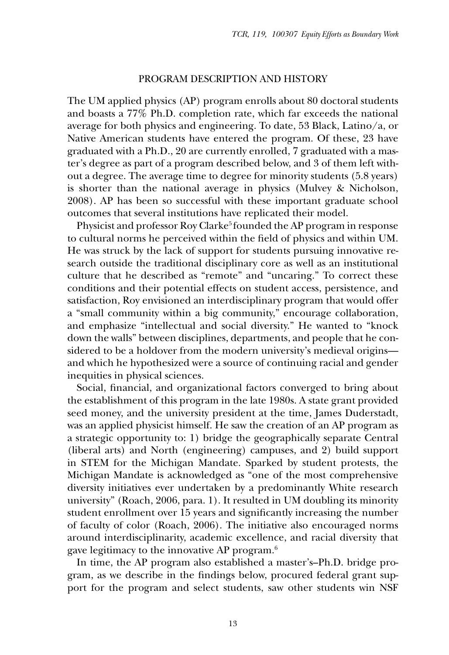#### PROGRAM DESCRIPTION AND HISTORY

The UM applied physics (AP) program enrolls about 80 doctoral students and boasts a 77% Ph.D. completion rate, which far exceeds the national average for both physics and engineering. To date, 53 Black, Latino/a, or Native American students have entered the program. Of these, 23 have graduated with a Ph.D., 20 are currently enrolled, 7 graduated with a master's degree as part of a program described below, and 3 of them left without a degree. The average time to degree for minority students (5.8 years) is shorter than the national average in physics (Mulvey & Nicholson, 2008). AP has been so successful with these important graduate school outcomes that several institutions have replicated their model.

Physicist and professor Roy Clarke<sup>5</sup> founded the AP program in response to cultural norms he perceived within the field of physics and within UM. He was struck by the lack of support for students pursuing innovative research outside the traditional disciplinary core as well as an institutional culture that he described as "remote" and "uncaring." To correct these conditions and their potential effects on student access, persistence, and satisfaction, Roy envisioned an interdisciplinary program that would offer a "small community within a big community," encourage collaboration, and emphasize "intellectual and social diversity." He wanted to "knock down the walls" between disciplines, departments, and people that he considered to be a holdover from the modern university's medieval origins and which he hypothesized were a source of continuing racial and gender inequities in physical sciences.

Social, financial, and organizational factors converged to bring about the establishment of this program in the late 1980s. A state grant provided seed money, and the university president at the time, James Duderstadt, was an applied physicist himself. He saw the creation of an AP program as a strategic opportunity to: 1) bridge the geographically separate Central (liberal arts) and North (engineering) campuses, and 2) build support in STEM for the Michigan Mandate. Sparked by student protests, the Michigan Mandate is acknowledged as "one of the most comprehensive diversity initiatives ever undertaken by a predominantly White research university" (Roach, 2006, para. 1). It resulted in UM doubling its minority student enrollment over 15 years and significantly increasing the number of faculty of color (Roach, 2006). The initiative also encouraged norms around interdisciplinarity, academic excellence, and racial diversity that gave legitimacy to the innovative AP program.6

In time, the AP program also established a master's–Ph.D. bridge program, as we describe in the findings below, procured federal grant support for the program and select students, saw other students win NSF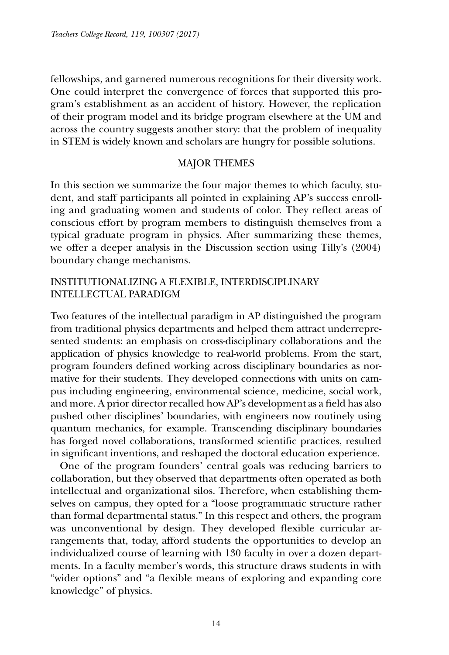fellowships, and garnered numerous recognitions for their diversity work. One could interpret the convergence of forces that supported this program's establishment as an accident of history. However, the replication of their program model and its bridge program elsewhere at the UM and across the country suggests another story: that the problem of inequality in STEM is widely known and scholars are hungry for possible solutions.

# MAJOR THEMES

In this section we summarize the four major themes to which faculty, student, and staff participants all pointed in explaining AP's success enrolling and graduating women and students of color. They reflect areas of conscious effort by program members to distinguish themselves from a typical graduate program in physics. After summarizing these themes, we offer a deeper analysis in the Discussion section using Tilly's (2004) boundary change mechanisms.

# INSTITUTIONALIZING A FLEXIBLE, INTERDISCIPLINARY INTELLECTUAL PARADIGM

Two features of the intellectual paradigm in AP distinguished the program from traditional physics departments and helped them attract underrepresented students: an emphasis on cross-disciplinary collaborations and the application of physics knowledge to real-world problems. From the start, program founders defined working across disciplinary boundaries as normative for their students. They developed connections with units on campus including engineering, environmental science, medicine, social work, and more. A prior director recalled how AP's development as a field has also pushed other disciplines' boundaries, with engineers now routinely using quantum mechanics, for example. Transcending disciplinary boundaries has forged novel collaborations, transformed scientific practices, resulted in significant inventions, and reshaped the doctoral education experience.

One of the program founders' central goals was reducing barriers to collaboration, but they observed that departments often operated as both intellectual and organizational silos. Therefore, when establishing themselves on campus, they opted for a "loose programmatic structure rather than formal departmental status." In this respect and others, the program was unconventional by design. They developed flexible curricular arrangements that, today, afford students the opportunities to develop an individualized course of learning with 130 faculty in over a dozen departments. In a faculty member's words, this structure draws students in with "wider options" and "a flexible means of exploring and expanding core knowledge" of physics.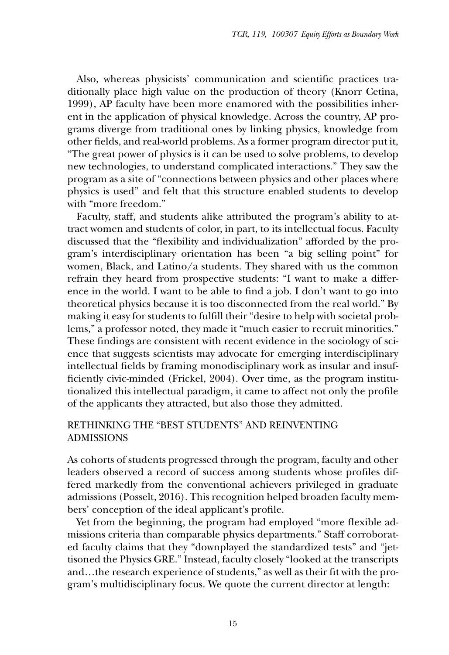Also, whereas physicists' communication and scientific practices traditionally place high value on the production of theory (Knorr Cetina, 1999), AP faculty have been more enamored with the possibilities inherent in the application of physical knowledge. Across the country, AP programs diverge from traditional ones by linking physics, knowledge from other fields, and real-world problems. As a former program director put it, "The great power of physics is it can be used to solve problems, to develop new technologies, to understand complicated interactions." They saw the program as a site of "connections between physics and other places where physics is used" and felt that this structure enabled students to develop with "more freedom."

Faculty, staff, and students alike attributed the program's ability to attract women and students of color, in part, to its intellectual focus. Faculty discussed that the "flexibility and individualization" afforded by the program's interdisciplinary orientation has been "a big selling point" for women, Black, and Latino/a students. They shared with us the common refrain they heard from prospective students: "I want to make a difference in the world. I want to be able to find a job. I don't want to go into theoretical physics because it is too disconnected from the real world." By making it easy for students to fulfill their "desire to help with societal problems," a professor noted, they made it "much easier to recruit minorities." These findings are consistent with recent evidence in the sociology of science that suggests scientists may advocate for emerging interdisciplinary intellectual fields by framing monodisciplinary work as insular and insufficiently civic-minded (Frickel, 2004). Over time, as the program institutionalized this intellectual paradigm, it came to affect not only the profile of the applicants they attracted, but also those they admitted.

# RETHINKING THE "BEST STUDENTS" AND REINVENTING ADMISSIONS

As cohorts of students progressed through the program, faculty and other leaders observed a record of success among students whose profiles differed markedly from the conventional achievers privileged in graduate admissions (Posselt, 2016). This recognition helped broaden faculty members' conception of the ideal applicant's profile.

Yet from the beginning, the program had employed "more flexible admissions criteria than comparable physics departments." Staff corroborated faculty claims that they "downplayed the standardized tests" and "jettisoned the Physics GRE." Instead, faculty closely "looked at the transcripts and…the research experience of students," as well as their fit with the program's multidisciplinary focus. We quote the current director at length: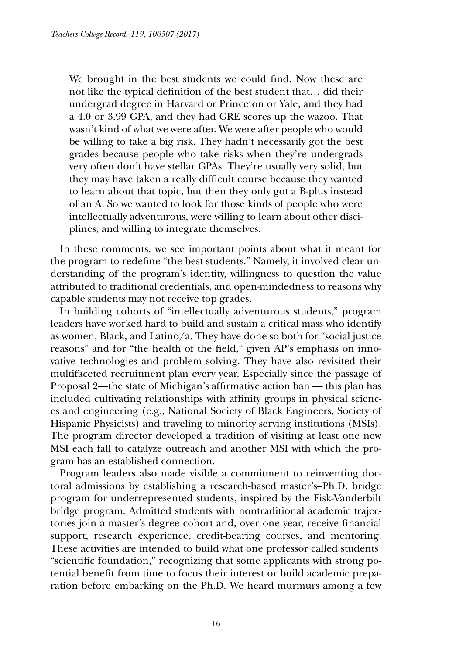We brought in the best students we could find. Now these are not like the typical definition of the best student that… did their undergrad degree in Harvard or Princeton or Yale, and they had a 4.0 or 3.99 GPA, and they had GRE scores up the wazoo. That wasn't kind of what we were after. We were after people who would be willing to take a big risk. They hadn't necessarily got the best grades because people who take risks when they're undergrads very often don't have stellar GPAs. They're usually very solid, but they may have taken a really difficult course because they wanted to learn about that topic, but then they only got a B-plus instead of an A. So we wanted to look for those kinds of people who were intellectually adventurous, were willing to learn about other disciplines, and willing to integrate themselves.

In these comments, we see important points about what it meant for the program to redefine "the best students." Namely, it involved clear understanding of the program's identity, willingness to question the value attributed to traditional credentials, and open-mindedness to reasons why capable students may not receive top grades.

In building cohorts of "intellectually adventurous students," program leaders have worked hard to build and sustain a critical mass who identify as women, Black, and Latino/a. They have done so both for "social justice reasons" and for "the health of the field," given AP's emphasis on innovative technologies and problem solving. They have also revisited their multifaceted recruitment plan every year. Especially since the passage of Proposal 2—the state of Michigan's affirmative action ban — this plan has included cultivating relationships with affinity groups in physical sciences and engineering (e.g., National Society of Black Engineers, Society of Hispanic Physicists) and traveling to minority serving institutions (MSIs). The program director developed a tradition of visiting at least one new MSI each fall to catalyze outreach and another MSI with which the program has an established connection.

Program leaders also made visible a commitment to reinventing doctoral admissions by establishing a research-based master's–Ph.D. bridge program for underrepresented students, inspired by the Fisk-Vanderbilt bridge program. Admitted students with nontraditional academic trajectories join a master's degree cohort and, over one year, receive financial support, research experience, credit-bearing courses, and mentoring. These activities are intended to build what one professor called students' "scientific foundation," recognizing that some applicants with strong potential benefit from time to focus their interest or build academic preparation before embarking on the Ph.D. We heard murmurs among a few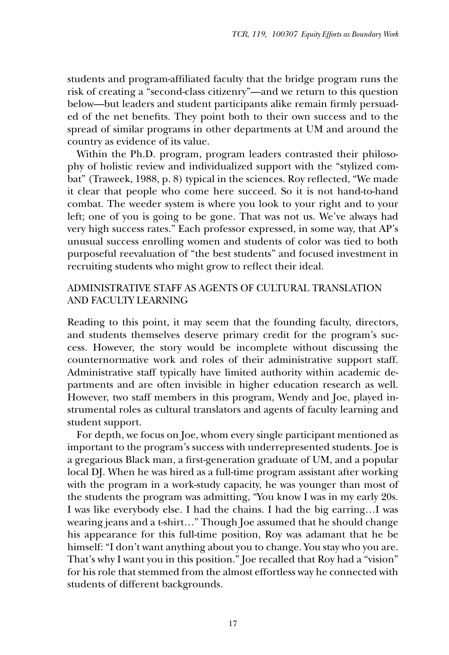students and program-affiliated faculty that the bridge program runs the risk of creating a "second-class citizenry"—and we return to this question below—but leaders and student participants alike remain firmly persuaded of the net benefits. They point both to their own success and to the spread of similar programs in other departments at UM and around the country as evidence of its value.

Within the Ph.D. program, program leaders contrasted their philosophy of holistic review and individualized support with the "stylized combat" (Traweek, 1988, p. 8) typical in the sciences. Roy reflected, "We made it clear that people who come here succeed. So it is not hand-to-hand combat. The weeder system is where you look to your right and to your left; one of you is going to be gone. That was not us. We've always had very high success rates." Each professor expressed, in some way, that AP's unusual success enrolling women and students of color was tied to both purposeful reevaluation of "the best students" and focused investment in recruiting students who might grow to reflect their ideal.

# ADMINISTRATIVE STAFF AS AGENTS OF CULTURAL TRANSLATION AND FACULTY LEARNING

Reading to this point, it may seem that the founding faculty, directors, and students themselves deserve primary credit for the program's success. However, the story would be incomplete without discussing the counternormative work and roles of their administrative support staff. Administrative staff typically have limited authority within academic departments and are often invisible in higher education research as well. However, two staff members in this program, Wendy and Joe, played instrumental roles as cultural translators and agents of faculty learning and student support.

For depth, we focus on Joe, whom every single participant mentioned as important to the program's success with underrepresented students. Joe is a gregarious Black man, a first-generation graduate of UM, and a popular local DJ. When he was hired as a full-time program assistant after working with the program in a work-study capacity, he was younger than most of the students the program was admitting, "You know I was in my early 20s. I was like everybody else. I had the chains. I had the big earring…I was wearing jeans and a t-shirt…" Though Joe assumed that he should change his appearance for this full-time position, Roy was adamant that he be himself: "I don't want anything about you to change. You stay who you are. That's why I want you in this position." Joe recalled that Roy had a "vision" for his role that stemmed from the almost effortless way he connected with students of different backgrounds.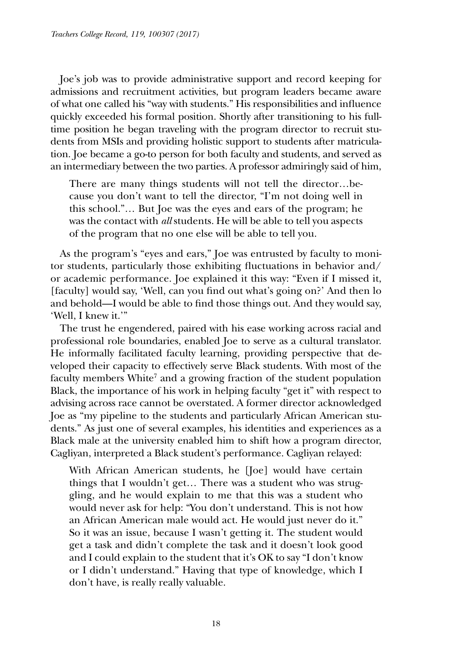Joe's job was to provide administrative support and record keeping for admissions and recruitment activities, but program leaders became aware of what one called his "way with students." His responsibilities and influence quickly exceeded his formal position. Shortly after transitioning to his fulltime position he began traveling with the program director to recruit students from MSIs and providing holistic support to students after matriculation. Joe became a go-to person for both faculty and students, and served as an intermediary between the two parties. A professor admiringly said of him,

There are many things students will not tell the director…because you don't want to tell the director, "I'm not doing well in this school."… But Joe was the eyes and ears of the program; he was the contact with *all* students. He will be able to tell you aspects of the program that no one else will be able to tell you.

As the program's "eyes and ears," Joe was entrusted by faculty to monitor students, particularly those exhibiting fluctuations in behavior and/ or academic performance. Joe explained it this way: "Even if I missed it, [faculty] would say, 'Well, can you find out what's going on?' And then lo and behold—I would be able to find those things out. And they would say, 'Well, I knew it.'"

The trust he engendered, paired with his ease working across racial and professional role boundaries, enabled Joe to serve as a cultural translator. He informally facilitated faculty learning, providing perspective that developed their capacity to effectively serve Black students. With most of the faculty members White<sup>7</sup> and a growing fraction of the student population Black, the importance of his work in helping faculty "get it" with respect to advising across race cannot be overstated. A former director acknowledged Joe as "my pipeline to the students and particularly African American students." As just one of several examples, his identities and experiences as a Black male at the university enabled him to shift how a program director, Cagliyan, interpreted a Black student's performance. Cagliyan relayed:

With African American students, he [Joe] would have certain things that I wouldn't get… There was a student who was struggling, and he would explain to me that this was a student who would never ask for help: "You don't understand. This is not how an African American male would act. He would just never do it." So it was an issue, because I wasn't getting it. The student would get a task and didn't complete the task and it doesn't look good and I could explain to the student that it's OK to say "I don't know or I didn't understand." Having that type of knowledge, which I don't have, is really really valuable.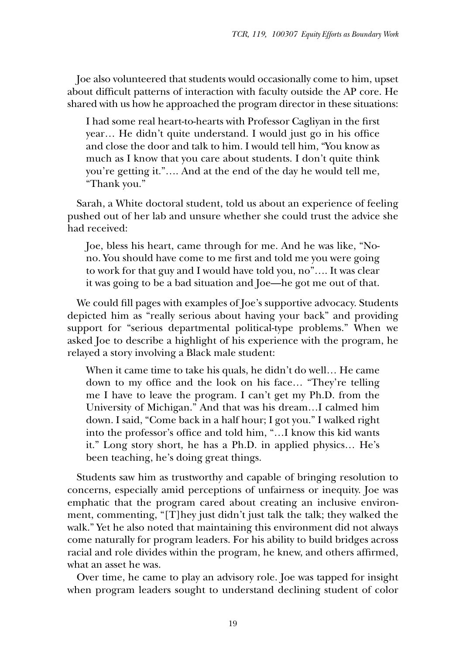Joe also volunteered that students would occasionally come to him, upset about difficult patterns of interaction with faculty outside the AP core. He shared with us how he approached the program director in these situations:

I had some real heart-to-hearts with Professor Cagliyan in the first year… He didn't quite understand. I would just go in his office and close the door and talk to him. I would tell him, "You know as much as I know that you care about students. I don't quite think you're getting it."…. And at the end of the day he would tell me, "Thank you."

Sarah, a White doctoral student, told us about an experience of feeling pushed out of her lab and unsure whether she could trust the advice she had received:

Joe, bless his heart, came through for me. And he was like, "Nono. You should have come to me first and told me you were going to work for that guy and I would have told you, no"…. It was clear it was going to be a bad situation and Joe—he got me out of that.

We could fill pages with examples of Joe's supportive advocacy. Students depicted him as "really serious about having your back" and providing support for "serious departmental political-type problems." When we asked Joe to describe a highlight of his experience with the program, he relayed a story involving a Black male student:

When it came time to take his quals, he didn't do well… He came down to my office and the look on his face… "They're telling me I have to leave the program. I can't get my Ph.D. from the University of Michigan." And that was his dream…I calmed him down. I said, "Come back in a half hour; I got you." I walked right into the professor's office and told him, "…I know this kid wants it." Long story short, he has a Ph.D. in applied physics… He's been teaching, he's doing great things.

Students saw him as trustworthy and capable of bringing resolution to concerns, especially amid perceptions of unfairness or inequity. Joe was emphatic that the program cared about creating an inclusive environment, commenting, "[T]hey just didn't just talk the talk; they walked the walk." Yet he also noted that maintaining this environment did not always come naturally for program leaders. For his ability to build bridges across racial and role divides within the program, he knew, and others affirmed, what an asset he was.

Over time, he came to play an advisory role. Joe was tapped for insight when program leaders sought to understand declining student of color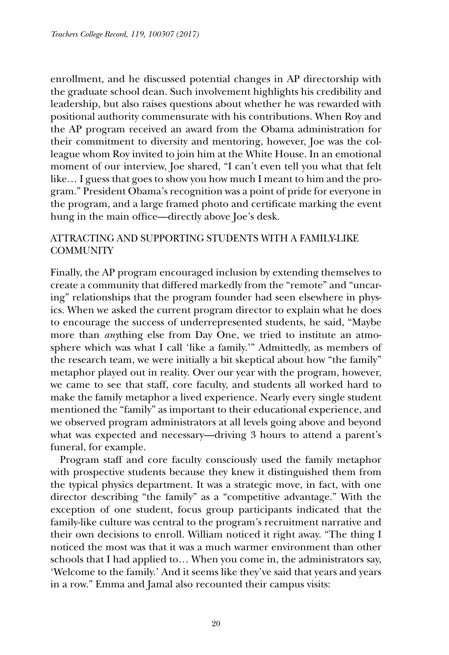enrollment, and he discussed potential changes in AP directorship with the graduate school dean. Such involvement highlights his credibility and leadership, but also raises questions about whether he was rewarded with positional authority commensurate with his contributions. When Roy and the AP program received an award from the Obama administration for their commitment to diversity and mentoring, however, Joe was the colleague whom Roy invited to join him at the White House. In an emotional moment of our interview, Joe shared, "I can't even tell you what that felt like… I guess that goes to show you how much I meant to him and the program." President Obama's recognition was a point of pride for everyone in the program, and a large framed photo and certificate marking the event hung in the main office—directly above Joe's desk.

# ATTRACTING AND SUPPORTING STUDENTS WITH A FAMILY-LIKE **COMMUNITY**

Finally, the AP program encouraged inclusion by extending themselves to create a community that differed markedly from the "remote" and "uncaring" relationships that the program founder had seen elsewhere in physics. When we asked the current program director to explain what he does to encourage the success of underrepresented students, he said, "Maybe more than *any*thing else from Day One, we tried to institute an atmosphere which was what I call 'like a family.'" Admittedly, as members of the research team, we were initially a bit skeptical about how "the family" metaphor played out in reality. Over our year with the program, however, we came to see that staff, core faculty, and students all worked hard to make the family metaphor a lived experience. Nearly every single student mentioned the "family" as important to their educational experience, and we observed program administrators at all levels going above and beyond what was expected and necessary—driving 3 hours to attend a parent's funeral, for example.

Program staff and core faculty consciously used the family metaphor with prospective students because they knew it distinguished them from the typical physics department. It was a strategic move, in fact, with one director describing "the family" as a "competitive advantage." With the exception of one student, focus group participants indicated that the family-like culture was central to the program's recruitment narrative and their own decisions to enroll. William noticed it right away. "The thing I noticed the most was that it was a much warmer environment than other schools that I had applied to… When you come in, the administrators say, 'Welcome to the family.' And it seems like they've said that years and years in a row." Emma and Jamal also recounted their campus visits: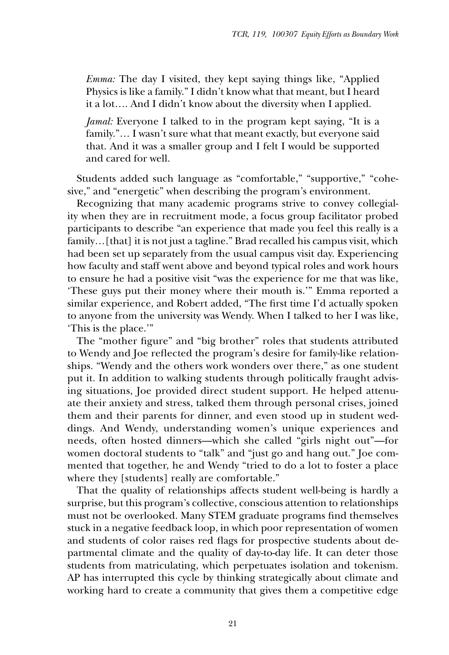*Emma:* The day I visited, they kept saying things like, "Applied Physics is like a family." I didn't know what that meant, but I heard it a lot…. And I didn't know about the diversity when I applied.

*Jamal:* Everyone I talked to in the program kept saying, "It is a family."… I wasn't sure what that meant exactly, but everyone said that. And it was a smaller group and I felt I would be supported and cared for well.

Students added such language as "comfortable," "supportive," "cohesive," and "energetic" when describing the program's environment.

Recognizing that many academic programs strive to convey collegiality when they are in recruitment mode, a focus group facilitator probed participants to describe "an experience that made you feel this really is a family... [that] it is not just a tagline." Brad recalled his campus visit, which had been set up separately from the usual campus visit day. Experiencing how faculty and staff went above and beyond typical roles and work hours to ensure he had a positive visit "was the experience for me that was like, 'These guys put their money where their mouth is.'" Emma reported a similar experience, and Robert added, "The first time I'd actually spoken to anyone from the university was Wendy. When I talked to her I was like, 'This is the place.'"

The "mother figure" and "big brother" roles that students attributed to Wendy and Joe reflected the program's desire for family-like relationships. "Wendy and the others work wonders over there," as one student put it. In addition to walking students through politically fraught advising situations, Joe provided direct student support. He helped attenuate their anxiety and stress, talked them through personal crises, joined them and their parents for dinner, and even stood up in student weddings. And Wendy, understanding women's unique experiences and needs, often hosted dinners—which she called "girls night out"—for women doctoral students to "talk" and "just go and hang out." Joe commented that together, he and Wendy "tried to do a lot to foster a place where they [students] really are comfortable."

That the quality of relationships affects student well-being is hardly a surprise, but this program's collective, conscious attention to relationships must not be overlooked. Many STEM graduate programs find themselves stuck in a negative feedback loop, in which poor representation of women and students of color raises red flags for prospective students about departmental climate and the quality of day-to-day life. It can deter those students from matriculating, which perpetuates isolation and tokenism. AP has interrupted this cycle by thinking strategically about climate and working hard to create a community that gives them a competitive edge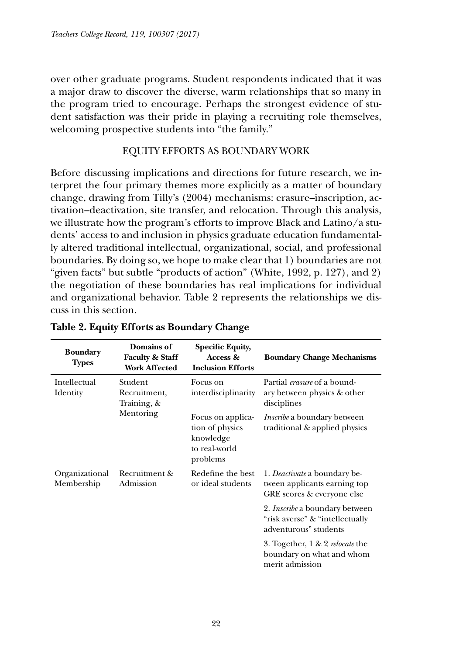over other graduate programs. Student respondents indicated that it was a major draw to discover the diverse, warm relationships that so many in the program tried to encourage. Perhaps the strongest evidence of student satisfaction was their pride in playing a recruiting role themselves, welcoming prospective students into "the family."

#### EQUITY EFFORTS AS BOUNDARY WORK

Before discussing implications and directions for future research, we interpret the four primary themes more explicitly as a matter of boundary change, drawing from Tilly's (2004) mechanisms: erasure–inscription, activation–deactivation, site transfer, and relocation. Through this analysis, we illustrate how the program's efforts to improve Black and Latino/a students' access to and inclusion in physics graduate education fundamentally altered traditional intellectual, organizational, social, and professional boundaries. By doing so, we hope to make clear that 1) boundaries are not "given facts" but subtle "products of action" (White, 1992, p. 127), and 2) the negotiation of these boundaries has real implications for individual and organizational behavior. Table 2 represents the relationships we discuss in this section.

| <b>Boundary</b><br><b>Types</b> | Domains of<br><b>Faculty &amp; Staff</b><br><b>Work Affected</b> | <b>Specific Equity,</b><br>Access &<br><b>Inclusion Efforts</b>                | <b>Boundary Change Mechanisms</b>                                                                 |
|---------------------------------|------------------------------------------------------------------|--------------------------------------------------------------------------------|---------------------------------------------------------------------------------------------------|
| Intellectual<br>Identity        | Student<br>Recruitment.<br>Training, &<br>Mentoring              | Focus on<br>interdisciplinarity                                                | Partial <i>erasure</i> of a bound-<br>ary between physics & other<br>disciplines                  |
|                                 |                                                                  | Focus on applica-<br>tion of physics<br>knowledge<br>to real-world<br>problems | <i>Inscribe</i> a boundary between<br>traditional & applied physics                               |
| Organizational<br>Membership    | Recruitment &<br>Admission                                       | Redefine the best<br>or ideal students                                         | 1. <i>Deactivate</i> a boundary be-<br>tween applicants earning top<br>GRE scores & everyone else |
|                                 |                                                                  |                                                                                | 2. <i>Inscribe</i> a boundary between<br>"risk averse" & "intellectually<br>adventurous" students |
|                                 |                                                                  |                                                                                | 3. Together, 1 & 2 relocate the<br>boundary on what and whom<br>merit admission                   |

#### **Table 2. Equity Efforts as Boundary Change**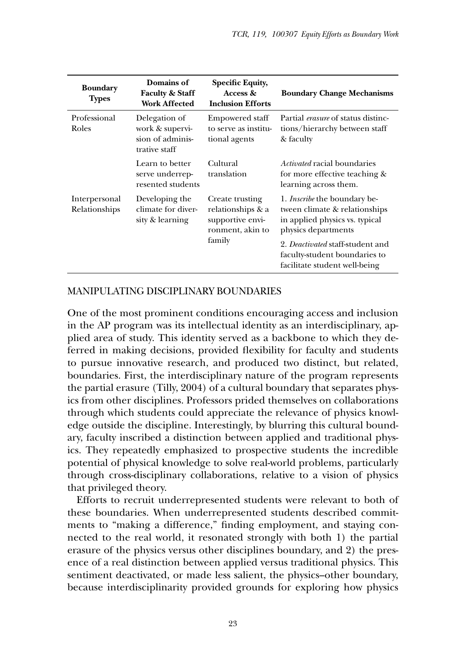| Domains of<br><b>Faculty &amp; Staff</b><br>Work Affected             | Specific Equity,<br>Access &<br><b>Inclusion Efforts</b>                               | <b>Boundary Change Mechanisms</b>                                                                                                                                                                                                   |
|-----------------------------------------------------------------------|----------------------------------------------------------------------------------------|-------------------------------------------------------------------------------------------------------------------------------------------------------------------------------------------------------------------------------------|
| Delegation of<br>work & supervi-<br>sion of adminis-<br>trative staff | <b>Empowered staff</b><br>to serve as institu-<br>tional agents                        | Partial <i>erasure</i> of status distinc-<br>tions/hierarchy between staff<br>& faculty                                                                                                                                             |
| Learn to better<br>serve underrep-<br>resented students               | Cultural<br>translation                                                                | <i>Activated</i> racial boundaries<br>for more effective teaching &<br>learning across them.                                                                                                                                        |
| Developing the<br>climate for diver-<br>sity & learning               | Create trusting<br>relationships & a<br>supportive envi-<br>ronment, akin to<br>family | 1. <i>Inscribe</i> the boundary be-<br>tween climate & relationships<br>in applied physics vs. typical<br>physics departments<br>2. Deactivated staff-student and<br>faculty-student boundaries to<br>facilitate student well-being |
|                                                                       |                                                                                        |                                                                                                                                                                                                                                     |

#### MANIPULATING DISCIPLINARY BOUNDARIES

One of the most prominent conditions encouraging access and inclusion in the AP program was its intellectual identity as an interdisciplinary, applied area of study. This identity served as a backbone to which they deferred in making decisions, provided flexibility for faculty and students to pursue innovative research, and produced two distinct, but related, boundaries. First, the interdisciplinary nature of the program represents the partial erasure (Tilly, 2004) of a cultural boundary that separates physics from other disciplines. Professors prided themselves on collaborations through which students could appreciate the relevance of physics knowledge outside the discipline. Interestingly, by blurring this cultural boundary, faculty inscribed a distinction between applied and traditional physics. They repeatedly emphasized to prospective students the incredible potential of physical knowledge to solve real-world problems, particularly through cross-disciplinary collaborations, relative to a vision of physics that privileged theory.

Efforts to recruit underrepresented students were relevant to both of these boundaries. When underrepresented students described commitments to "making a difference," finding employment, and staying connected to the real world, it resonated strongly with both 1) the partial erasure of the physics versus other disciplines boundary, and 2) the presence of a real distinction between applied versus traditional physics. This sentiment deactivated, or made less salient, the physics–other boundary, because interdisciplinarity provided grounds for exploring how physics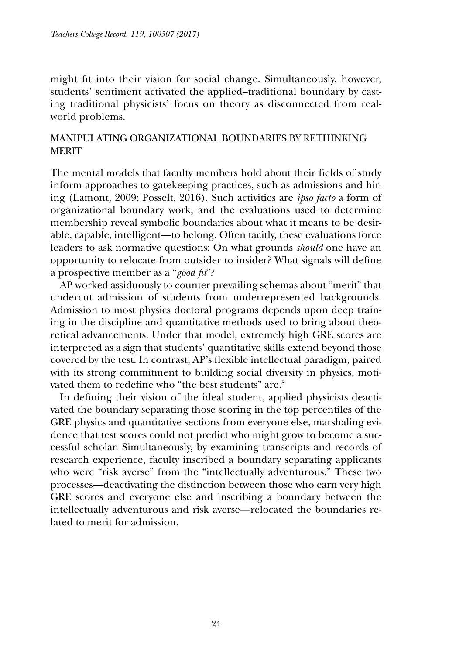might fit into their vision for social change. Simultaneously, however, students' sentiment activated the applied–traditional boundary by casting traditional physicists' focus on theory as disconnected from realworld problems.

# MANIPULATING ORGANIZATIONAL BOUNDARIES BY RETHINKING MERIT

The mental models that faculty members hold about their fields of study inform approaches to gatekeeping practices, such as admissions and hiring (Lamont, 2009; Posselt, 2016). Such activities are *ipso facto* a form of organizational boundary work, and the evaluations used to determine membership reveal symbolic boundaries about what it means to be desirable, capable, intelligent—to belong. Often tacitly, these evaluations force leaders to ask normative questions: On what grounds *should* one have an opportunity to relocate from outsider to insider? What signals will define a prospective member as a "*good fit*"?

AP worked assiduously to counter prevailing schemas about "merit" that undercut admission of students from underrepresented backgrounds. Admission to most physics doctoral programs depends upon deep training in the discipline and quantitative methods used to bring about theoretical advancements. Under that model, extremely high GRE scores are interpreted as a sign that students' quantitative skills extend beyond those covered by the test. In contrast, AP's flexible intellectual paradigm, paired with its strong commitment to building social diversity in physics, motivated them to redefine who "the best students" are.<sup>8</sup>

In defining their vision of the ideal student, applied physicists deactivated the boundary separating those scoring in the top percentiles of the GRE physics and quantitative sections from everyone else, marshaling evidence that test scores could not predict who might grow to become a successful scholar. Simultaneously, by examining transcripts and records of research experience, faculty inscribed a boundary separating applicants who were "risk averse" from the "intellectually adventurous." These two processes—deactivating the distinction between those who earn very high GRE scores and everyone else and inscribing a boundary between the intellectually adventurous and risk averse—relocated the boundaries related to merit for admission.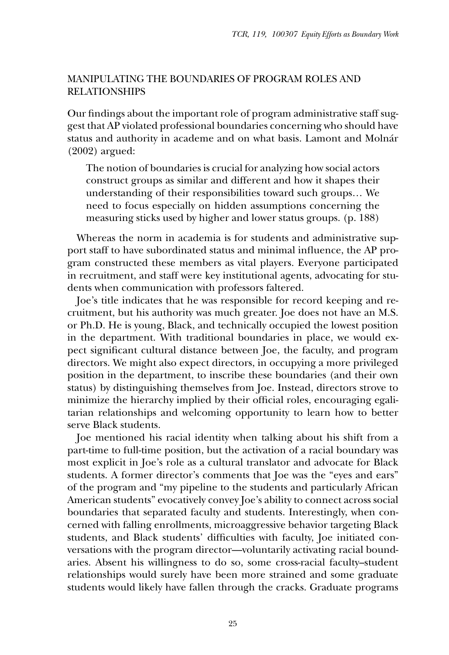## MANIPULATING THE BOUNDARIES OF PROGRAM ROLES AND RELATIONSHIPS

Our findings about the important role of program administrative staff suggest that AP violated professional boundaries concerning who should have status and authority in academe and on what basis. Lamont and Molnár (2002) argued:

The notion of boundaries is crucial for analyzing how social actors construct groups as similar and different and how it shapes their understanding of their responsibilities toward such groups… We need to focus especially on hidden assumptions concerning the measuring sticks used by higher and lower status groups. (p. 188)

Whereas the norm in academia is for students and administrative support staff to have subordinated status and minimal influence, the AP program constructed these members as vital players. Everyone participated in recruitment, and staff were key institutional agents, advocating for students when communication with professors faltered.

Joe's title indicates that he was responsible for record keeping and recruitment, but his authority was much greater. Joe does not have an M.S. or Ph.D. He is young, Black, and technically occupied the lowest position in the department. With traditional boundaries in place, we would expect significant cultural distance between Joe, the faculty, and program directors. We might also expect directors, in occupying a more privileged position in the department, to inscribe these boundaries (and their own status) by distinguishing themselves from Joe. Instead, directors strove to minimize the hierarchy implied by their official roles, encouraging egalitarian relationships and welcoming opportunity to learn how to better serve Black students.

Joe mentioned his racial identity when talking about his shift from a part-time to full-time position, but the activation of a racial boundary was most explicit in Joe's role as a cultural translator and advocate for Black students. A former director's comments that Joe was the "eyes and ears" of the program and "my pipeline to the students and particularly African American students" evocatively convey Joe's ability to connect across social boundaries that separated faculty and students. Interestingly, when concerned with falling enrollments, microaggressive behavior targeting Black students, and Black students' difficulties with faculty, Joe initiated conversations with the program director—voluntarily activating racial boundaries. Absent his willingness to do so, some cross-racial faculty–student relationships would surely have been more strained and some graduate students would likely have fallen through the cracks. Graduate programs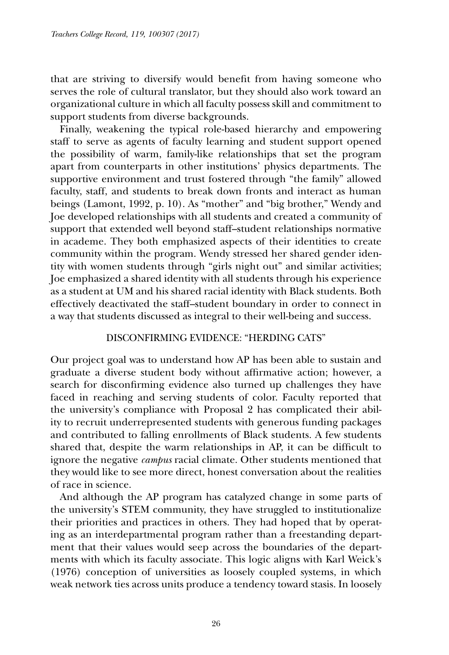that are striving to diversify would benefit from having someone who serves the role of cultural translator, but they should also work toward an organizational culture in which all faculty possess skill and commitment to support students from diverse backgrounds.

Finally, weakening the typical role-based hierarchy and empowering staff to serve as agents of faculty learning and student support opened the possibility of warm, family-like relationships that set the program apart from counterparts in other institutions' physics departments. The supportive environment and trust fostered through "the family" allowed faculty, staff, and students to break down fronts and interact as human beings (Lamont, 1992, p. 10). As "mother" and "big brother," Wendy and Joe developed relationships with all students and created a community of support that extended well beyond staff–student relationships normative in academe. They both emphasized aspects of their identities to create community within the program. Wendy stressed her shared gender identity with women students through "girls night out" and similar activities; Joe emphasized a shared identity with all students through his experience as a student at UM and his shared racial identity with Black students. Both effectively deactivated the staff–student boundary in order to connect in a way that students discussed as integral to their well-being and success.

# DISCONFIRMING EVIDENCE: "HERDING CATS"

Our project goal was to understand how AP has been able to sustain and graduate a diverse student body without affirmative action; however, a search for disconfirming evidence also turned up challenges they have faced in reaching and serving students of color. Faculty reported that the university's compliance with Proposal 2 has complicated their ability to recruit underrepresented students with generous funding packages and contributed to falling enrollments of Black students. A few students shared that, despite the warm relationships in AP, it can be difficult to ignore the negative *campus* racial climate. Other students mentioned that they would like to see more direct, honest conversation about the realities of race in science.

And although the AP program has catalyzed change in some parts of the university's STEM community, they have struggled to institutionalize their priorities and practices in others. They had hoped that by operating as an interdepartmental program rather than a freestanding department that their values would seep across the boundaries of the departments with which its faculty associate. This logic aligns with Karl Weick's (1976) conception of universities as loosely coupled systems, in which weak network ties across units produce a tendency toward stasis. In loosely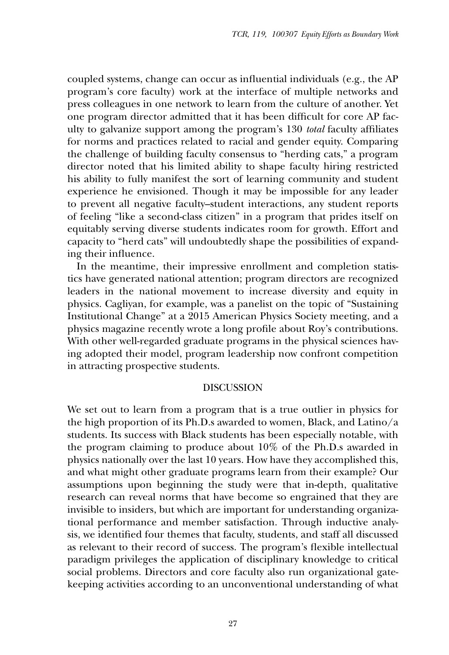coupled systems, change can occur as influential individuals (e.g., the AP program's core faculty) work at the interface of multiple networks and press colleagues in one network to learn from the culture of another. Yet one program director admitted that it has been difficult for core AP faculty to galvanize support among the program's 130 *total* faculty affiliates for norms and practices related to racial and gender equity. Comparing the challenge of building faculty consensus to "herding cats," a program director noted that his limited ability to shape faculty hiring restricted his ability to fully manifest the sort of learning community and student experience he envisioned. Though it may be impossible for any leader to prevent all negative faculty–student interactions, any student reports of feeling "like a second-class citizen" in a program that prides itself on equitably serving diverse students indicates room for growth. Effort and capacity to "herd cats" will undoubtedly shape the possibilities of expanding their influence.

In the meantime, their impressive enrollment and completion statistics have generated national attention; program directors are recognized leaders in the national movement to increase diversity and equity in physics. Cagliyan, for example, was a panelist on the topic of "Sustaining Institutional Change" at a 2015 American Physics Society meeting, and a physics magazine recently wrote a long profile about Roy's contributions. With other well-regarded graduate programs in the physical sciences having adopted their model, program leadership now confront competition in attracting prospective students.

#### DISCUSSION

We set out to learn from a program that is a true outlier in physics for the high proportion of its Ph.D.s awarded to women, Black, and Latino/a students. Its success with Black students has been especially notable, with the program claiming to produce about 10% of the Ph.D.s awarded in physics nationally over the last 10 years. How have they accomplished this, and what might other graduate programs learn from their example? Our assumptions upon beginning the study were that in-depth, qualitative research can reveal norms that have become so engrained that they are invisible to insiders, but which are important for understanding organizational performance and member satisfaction. Through inductive analysis, we identified four themes that faculty, students, and staff all discussed as relevant to their record of success. The program's flexible intellectual paradigm privileges the application of disciplinary knowledge to critical social problems. Directors and core faculty also run organizational gatekeeping activities according to an unconventional understanding of what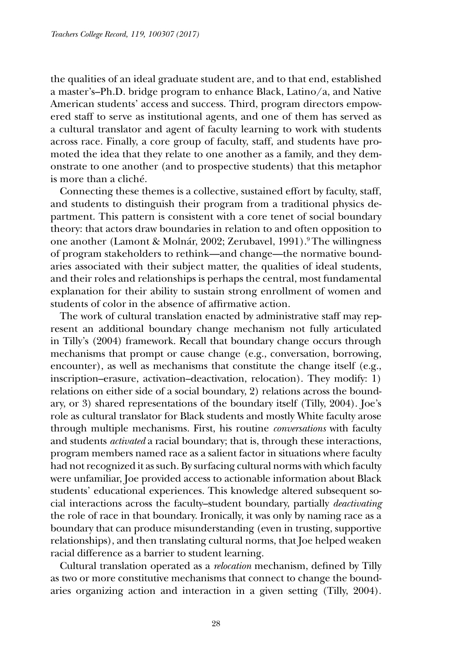the qualities of an ideal graduate student are, and to that end, established a master's–Ph.D. bridge program to enhance Black, Latino/a, and Native American students' access and success. Third, program directors empowered staff to serve as institutional agents, and one of them has served as a cultural translator and agent of faculty learning to work with students across race. Finally, a core group of faculty, staff, and students have promoted the idea that they relate to one another as a family, and they demonstrate to one another (and to prospective students) that this metaphor is more than a cliché.

Connecting these themes is a collective, sustained effort by faculty, staff, and students to distinguish their program from a traditional physics department. This pattern is consistent with a core tenet of social boundary theory: that actors draw boundaries in relation to and often opposition to one another (Lamont & Molnár, 2002; Zerubavel, 1991).<sup>9</sup> The willingness of program stakeholders to rethink—and change—the normative boundaries associated with their subject matter, the qualities of ideal students, and their roles and relationships is perhaps the central, most fundamental explanation for their ability to sustain strong enrollment of women and students of color in the absence of affirmative action.

The work of cultural translation enacted by administrative staff may represent an additional boundary change mechanism not fully articulated in Tilly's (2004) framework. Recall that boundary change occurs through mechanisms that prompt or cause change (e.g., conversation, borrowing, encounter), as well as mechanisms that constitute the change itself (e.g., inscription–erasure, activation–deactivation, relocation). They modify: 1) relations on either side of a social boundary, 2) relations across the boundary, or 3) shared representations of the boundary itself (Tilly, 2004). Joe's role as cultural translator for Black students and mostly White faculty arose through multiple mechanisms. First, his routine *conversations* with faculty and students *activated* a racial boundary; that is, through these interactions, program members named race as a salient factor in situations where faculty had not recognized it as such. By surfacing cultural norms with which faculty were unfamiliar, Joe provided access to actionable information about Black students' educational experiences. This knowledge altered subsequent social interactions across the faculty–student boundary, partially *deactivating* the role of race in that boundary. Ironically, it was only by naming race as a boundary that can produce misunderstanding (even in trusting, supportive relationships), and then translating cultural norms, that Joe helped weaken racial difference as a barrier to student learning.

Cultural translation operated as a *relocation* mechanism, defined by Tilly as two or more constitutive mechanisms that connect to change the boundaries organizing action and interaction in a given setting (Tilly, 2004).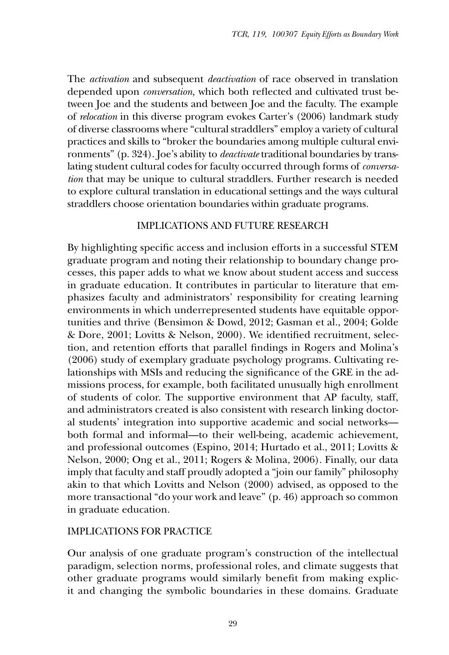The *activation* and subsequent *deactivation* of race observed in translation depended upon *conversation,* which both reflected and cultivated trust between Joe and the students and between Joe and the faculty. The example of *relocation* in this diverse program evokes Carter's (2006) landmark study of diverse classrooms where "cultural straddlers" employ a variety of cultural practices and skills to "broker the boundaries among multiple cultural environments" (p. 324). Joe's ability to *deactivate* traditional boundaries by translating student cultural codes for faculty occurred through forms of *conversation* that may be unique to cultural straddlers. Further research is needed to explore cultural translation in educational settings and the ways cultural straddlers choose orientation boundaries within graduate programs.

# IMPLICATIONS AND FUTURE RESEARCH

By highlighting specific access and inclusion efforts in a successful STEM graduate program and noting their relationship to boundary change processes, this paper adds to what we know about student access and success in graduate education. It contributes in particular to literature that emphasizes faculty and administrators' responsibility for creating learning environments in which underrepresented students have equitable opportunities and thrive (Bensimon & Dowd, 2012; Gasman et al., 2004; Golde & Dore, 2001; Lovitts & Nelson, 2000). We identified recruitment, selection, and retention efforts that parallel findings in Rogers and Molina's (2006) study of exemplary graduate psychology programs. Cultivating relationships with MSIs and reducing the significance of the GRE in the admissions process, for example, both facilitated unusually high enrollment of students of color. The supportive environment that AP faculty, staff, and administrators created is also consistent with research linking doctoral students' integration into supportive academic and social networks both formal and informal—to their well-being, academic achievement, and professional outcomes (Espino, 2014; Hurtado et al., 2011; Lovitts & Nelson, 2000; Ong et al., 2011; Rogers & Molina, 2006). Finally, our data imply that faculty and staff proudly adopted a "join our family" philosophy akin to that which Lovitts and Nelson (2000) advised, as opposed to the more transactional "do your work and leave" (p. 46) approach so common in graduate education.

# IMPLICATIONS FOR PRACTICE

Our analysis of one graduate program's construction of the intellectual paradigm, selection norms, professional roles, and climate suggests that other graduate programs would similarly benefit from making explicit and changing the symbolic boundaries in these domains. Graduate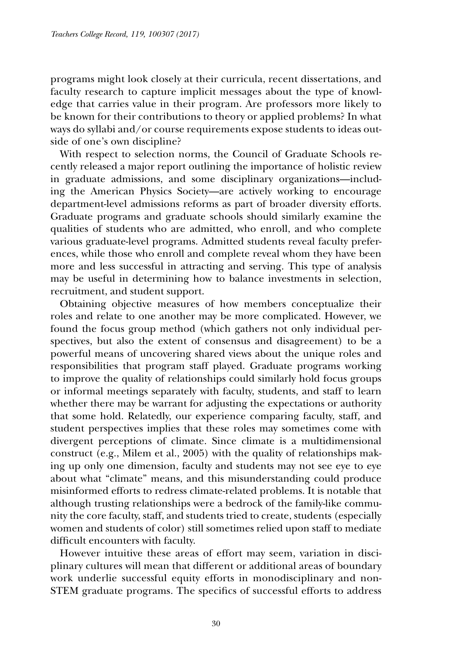programs might look closely at their curricula, recent dissertations, and faculty research to capture implicit messages about the type of knowledge that carries value in their program. Are professors more likely to be known for their contributions to theory or applied problems? In what ways do syllabi and/or course requirements expose students to ideas outside of one's own discipline?

With respect to selection norms, the Council of Graduate Schools recently released a major report outlining the importance of holistic review in graduate admissions, and some disciplinary organizations—including the American Physics Society—are actively working to encourage department-level admissions reforms as part of broader diversity efforts. Graduate programs and graduate schools should similarly examine the qualities of students who are admitted, who enroll, and who complete various graduate-level programs. Admitted students reveal faculty preferences, while those who enroll and complete reveal whom they have been more and less successful in attracting and serving. This type of analysis may be useful in determining how to balance investments in selection, recruitment, and student support.

Obtaining objective measures of how members conceptualize their roles and relate to one another may be more complicated. However, we found the focus group method (which gathers not only individual perspectives, but also the extent of consensus and disagreement) to be a powerful means of uncovering shared views about the unique roles and responsibilities that program staff played. Graduate programs working to improve the quality of relationships could similarly hold focus groups or informal meetings separately with faculty, students, and staff to learn whether there may be warrant for adjusting the expectations or authority that some hold. Relatedly, our experience comparing faculty, staff, and student perspectives implies that these roles may sometimes come with divergent perceptions of climate. Since climate is a multidimensional construct (e.g., Milem et al., 2005) with the quality of relationships making up only one dimension, faculty and students may not see eye to eye about what "climate" means, and this misunderstanding could produce misinformed efforts to redress climate-related problems. It is notable that although trusting relationships were a bedrock of the family-like community the core faculty, staff, and students tried to create, students (especially women and students of color) still sometimes relied upon staff to mediate difficult encounters with faculty.

However intuitive these areas of effort may seem, variation in disciplinary cultures will mean that different or additional areas of boundary work underlie successful equity efforts in monodisciplinary and non-STEM graduate programs. The specifics of successful efforts to address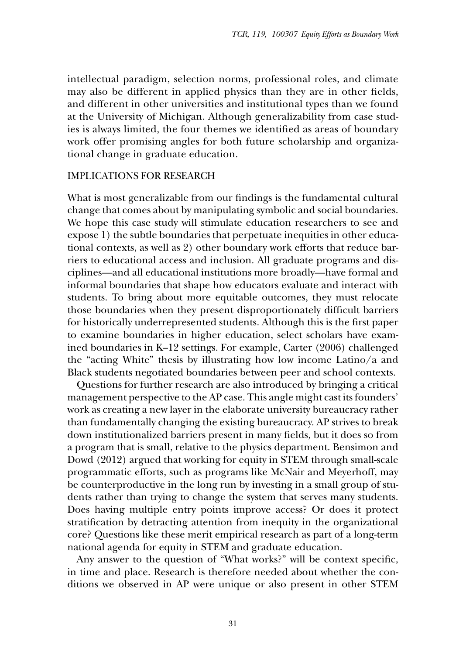intellectual paradigm, selection norms, professional roles, and climate may also be different in applied physics than they are in other fields, and different in other universities and institutional types than we found at the University of Michigan. Although generalizability from case studies is always limited, the four themes we identified as areas of boundary work offer promising angles for both future scholarship and organizational change in graduate education.

#### IMPLICATIONS FOR RESEARCH

What is most generalizable from our findings is the fundamental cultural change that comes about by manipulating symbolic and social boundaries. We hope this case study will stimulate education researchers to see and expose 1) the subtle boundaries that perpetuate inequities in other educational contexts, as well as 2) other boundary work efforts that reduce barriers to educational access and inclusion. All graduate programs and disciplines—and all educational institutions more broadly—have formal and informal boundaries that shape how educators evaluate and interact with students. To bring about more equitable outcomes, they must relocate those boundaries when they present disproportionately difficult barriers for historically underrepresented students. Although this is the first paper to examine boundaries in higher education, select scholars have examined boundaries in K–12 settings. For example, Carter (2006) challenged the "acting White" thesis by illustrating how low income Latino/a and Black students negotiated boundaries between peer and school contexts.

Questions for further research are also introduced by bringing a critical management perspective to the AP case. This angle might cast its founders' work as creating a new layer in the elaborate university bureaucracy rather than fundamentally changing the existing bureaucracy. AP strives to break down institutionalized barriers present in many fields, but it does so from a program that is small, relative to the physics department. Bensimon and Dowd (2012) argued that working for equity in STEM through small-scale programmatic efforts, such as programs like McNair and Meyerhoff, may be counterproductive in the long run by investing in a small group of students rather than trying to change the system that serves many students. Does having multiple entry points improve access? Or does it protect stratification by detracting attention from inequity in the organizational core? Questions like these merit empirical research as part of a long-term national agenda for equity in STEM and graduate education.

Any answer to the question of "What works?" will be context specific, in time and place. Research is therefore needed about whether the conditions we observed in AP were unique or also present in other STEM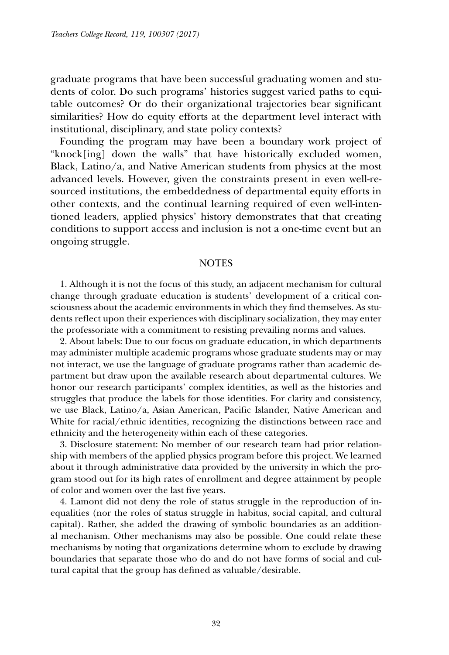graduate programs that have been successful graduating women and students of color. Do such programs' histories suggest varied paths to equitable outcomes? Or do their organizational trajectories bear significant similarities? How do equity efforts at the department level interact with institutional, disciplinary, and state policy contexts?

Founding the program may have been a boundary work project of "knock[ing] down the walls" that have historically excluded women, Black, Latino/a, and Native American students from physics at the most advanced levels. However, given the constraints present in even well-resourced institutions, the embeddedness of departmental equity efforts in other contexts, and the continual learning required of even well-intentioned leaders, applied physics' history demonstrates that that creating conditions to support access and inclusion is not a one-time event but an ongoing struggle.

#### **NOTES**

1. Although it is not the focus of this study, an adjacent mechanism for cultural change through graduate education is students' development of a critical consciousness about the academic environments in which they find themselves. As students reflect upon their experiences with disciplinary socialization, they may enter the professoriate with a commitment to resisting prevailing norms and values.

2. About labels: Due to our focus on graduate education, in which departments may administer multiple academic programs whose graduate students may or may not interact, we use the language of graduate programs rather than academic department but draw upon the available research about departmental cultures. We honor our research participants' complex identities, as well as the histories and struggles that produce the labels for those identities. For clarity and consistency, we use Black, Latino/a, Asian American, Pacific Islander, Native American and White for racial/ethnic identities, recognizing the distinctions between race and ethnicity and the heterogeneity within each of these categories.

3. Disclosure statement: No member of our research team had prior relationship with members of the applied physics program before this project. We learned about it through administrative data provided by the university in which the program stood out for its high rates of enrollment and degree attainment by people of color and women over the last five years.

4. Lamont did not deny the role of status struggle in the reproduction of inequalities (nor the roles of status struggle in habitus, social capital, and cultural capital). Rather, she added the drawing of symbolic boundaries as an additional mechanism. Other mechanisms may also be possible. One could relate these mechanisms by noting that organizations determine whom to exclude by drawing boundaries that separate those who do and do not have forms of social and cultural capital that the group has defined as valuable/desirable.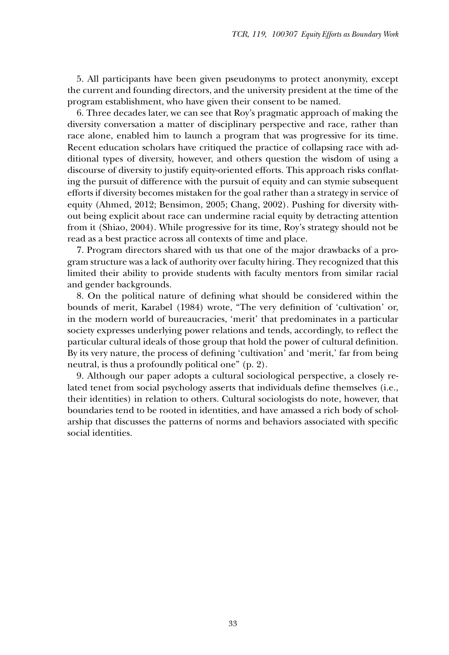5. All participants have been given pseudonyms to protect anonymity, except the current and founding directors, and the university president at the time of the program establishment, who have given their consent to be named.

6. Three decades later, we can see that Roy's pragmatic approach of making the diversity conversation a matter of disciplinary perspective and race, rather than race alone, enabled him to launch a program that was progressive for its time. Recent education scholars have critiqued the practice of collapsing race with additional types of diversity, however, and others question the wisdom of using a discourse of diversity to justify equity-oriented efforts. This approach risks conflating the pursuit of difference with the pursuit of equity and can stymie subsequent efforts if diversity becomes mistaken for the goal rather than a strategy in service of equity (Ahmed, 2012; Bensimon, 2005; Chang, 2002). Pushing for diversity without being explicit about race can undermine racial equity by detracting attention from it (Shiao, 2004). While progressive for its time, Roy's strategy should not be read as a best practice across all contexts of time and place.

7. Program directors shared with us that one of the major drawbacks of a program structure was a lack of authority over faculty hiring. They recognized that this limited their ability to provide students with faculty mentors from similar racial and gender backgrounds.

8. On the political nature of defining what should be considered within the bounds of merit, Karabel (1984) wrote, "The very definition of 'cultivation' or, in the modern world of bureaucracies, 'merit' that predominates in a particular society expresses underlying power relations and tends, accordingly, to reflect the particular cultural ideals of those group that hold the power of cultural definition. By its very nature, the process of defining 'cultivation' and 'merit,' far from being neutral, is thus a profoundly political one" (p. 2).

9. Although our paper adopts a cultural sociological perspective, a closely related tenet from social psychology asserts that individuals define themselves (i.e., their identities) in relation to others. Cultural sociologists do note, however, that boundaries tend to be rooted in identities, and have amassed a rich body of scholarship that discusses the patterns of norms and behaviors associated with specific social identities.

33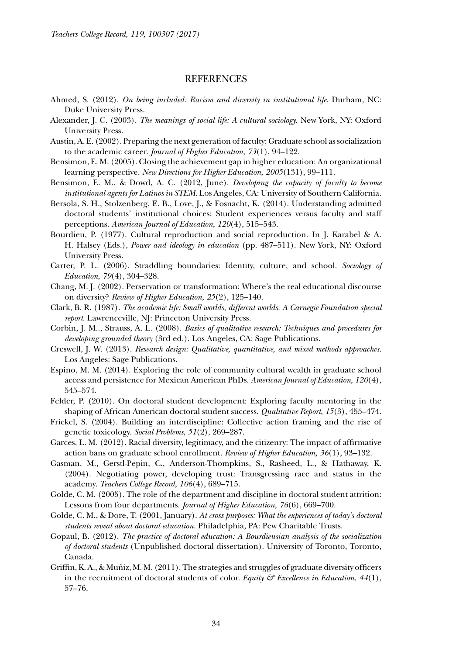#### REFERENCES

- Ahmed, S. (2012). *On being included: Racism and diversity in institutional life*. Durham, NC: Duke University Press.
- Alexander, J. C. (2003). *The meanings of social life: A cultural sociology*. New York, NY: Oxford University Press.
- Austin, A. E. (2002). Preparing the next generation of faculty: Graduate school as socialization to the academic career. *Journal of Higher Education*, *73*(1), 94–122.
- Bensimon, E. M. (2005). Closing the achievement gap in higher education: An organizational learning perspective. *New Directions for Higher Education, 2005*(131), 99–111.
- Bensimon, E. M., & Dowd, A. C. (2012, June). *Developing the capacity of faculty to become institutional agents for Latinos in STEM*. Los Angeles, CA: University of Southern California.
- Bersola, S. H., Stolzenberg, E. B., Love, J., & Fosnacht, K. (2014). Understanding admitted doctoral students' institutional choices: Student experiences versus faculty and staff perceptions. *American Journal of Education*, *120*(4), 515–543.
- Bourdieu, P. (1977). Cultural reproduction and social reproduction. In J. Karabel & A. H. Halsey (Eds.), *Power and ideology in education* (pp. 487–511). New York, NY: Oxford University Press.
- Carter, P. L. (2006). Straddling boundaries: Identity, culture, and school. *Sociology of Education*, *79*(4), 304–328.
- Chang, M. J. (2002). Perservation or transformation: Where's the real educational discourse on diversity? *Review of Higher Education, 25*(2), 125–140.
- Clark, B. R. (1987). *The academic life: Small worlds, different worlds. A Carnegie Foundation special report*. Lawrenceville, NJ: Princeton University Press.
- Corbin, J. M.., Strauss, A. L. (2008). *Basics of qualitative research: Techniques and procedures for developing grounded theory* (3rd ed.). Los Angeles, CA: Sage Publications.
- Creswell, J. W. (2013). *Research design: Qualitative, quantitative, and mixed methods approaches*. Los Angeles: Sage Publications.
- Espino, M. M. (2014). Exploring the role of community cultural wealth in graduate school access and persistence for Mexican American PhDs. *American Journal of Education*, *120*(4), 545–574.
- Felder, P. (2010). On doctoral student development: Exploring faculty mentoring in the shaping of African American doctoral student success. *Qualitative Report*, *15*(3), 455–474.
- Frickel, S. (2004). Building an interdiscipline: Collective action framing and the rise of genetic toxicology. *Social Problems*, *51*(2), 269–287.
- Garces, L. M. (2012). Racial diversity, legitimacy, and the citizenry: The impact of affirmative action bans on graduate school enrollment. *Review of Higher Education, 36*(1), 93–132.
- Gasman, M., Gerstl-Pepin, C., Anderson-Thompkins, S., Rasheed, L., & Hathaway, K. (2004). Negotiating power, developing trust: Transgressing race and status in the academy. *Teachers College Record*, *106*(4), 689–715.
- Golde, C. M. (2005). The role of the department and discipline in doctoral student attrition: Lessons from four departments. *Journal of Higher Education, 76*(6), 669–700.
- Golde, C. M., & Dore, T. (2001, January). *At cross purposes: What the experiences of today's doctoral students reveal about doctoral education.* Philadelphia, PA: Pew Charitable Trusts.
- Gopaul, B. (2012). *The practice of doctoral education: A Bourdieusian analysis of the socialization of doctoral students* (Unpublished doctoral dissertation). University of Toronto, Toronto, Canada.
- Griffin, K. A., & Muñiz, M. M. (2011). The strategies and struggles of graduate diversity officers in the recruitment of doctoral students of color. *Equity*  $\mathcal{E}$  *Excellence in Education*, 44(1), 57–76.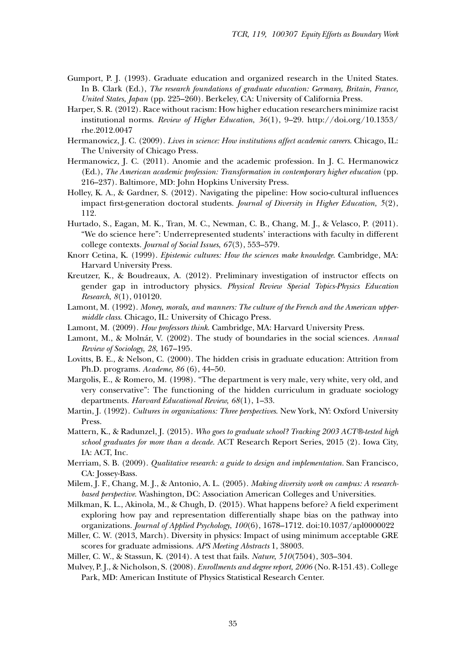- Gumport, P. J. (1993). Graduate education and organized research in the United States. In B. Clark (Ed.), *The research foundations of graduate education: Germany, Britain, France, United States, Japan* (pp. 225–260). Berkeley, CA: University of California Press.
- Harper, S. R. (2012). Race without racism: How higher education researchers minimize racist institutional norms. *Review of Higher Education*, *36*(1), 9–29. http://doi.org/10.1353/ rhe.2012.0047
- Hermanowicz, J. C. (2009). *Lives in science: How institutions affect academic careers*. Chicago, IL: The University of Chicago Press.
- Hermanowicz, J. C. (2011). Anomie and the academic profession. In J. C. Hermanowicz (Ed.), *The American academic profession: Transformation in contemporary higher education* (pp. 216–237). Baltimore, MD: John Hopkins University Press.
- Holley, K. A., & Gardner, S. (2012). Navigating the pipeline: How socio-cultural influences impact first-generation doctoral students. *Journal of Diversity in Higher Education, 5*(2), 112.
- Hurtado, S., Eagan, M. K., Tran, M. C., Newman, C. B., Chang, M. J., & Velasco, P. (2011). "We do science here": Underrepresented students' interactions with faculty in different college contexts. *Journal of Social Issues*, *67*(3), 553–579.
- Knorr Cetina, K. (1999). *Epistemic cultures: How the sciences make knowledge*. Cambridge, MA: Harvard University Press.
- Kreutzer, K., & Boudreaux, A. (2012). Preliminary investigation of instructor effects on gender gap in introductory physics. *Physical Review Special Topics-Physics Education Research*, *8*(1), 010120.
- Lamont, M. (1992). *Money, morals, and manners: The culture of the French and the American uppermiddle class*. Chicago, IL: University of Chicago Press.
- Lamont, M. (2009). *How professors think*. Cambridge, MA: Harvard University Press.
- Lamont, M., & Molnár, V. (2002). The study of boundaries in the social sciences. *Annual Review of Sociology, 28*, 167–195.
- Lovitts, B. E., & Nelson, C. (2000). The hidden crisis in graduate education: Attrition from Ph.D. programs. *Academe*, *86* (6), 44–50.
- Margolis, E., & Romero, M. (1998). "The department is very male, very white, very old, and very conservative": The functioning of the hidden curriculum in graduate sociology departments. *Harvard Educational Review, 68*(1), 1–33.
- Martin, J. (1992). *Cultures in organizations: Three perspectives*. New York, NY: Oxford University Press.
- Mattern, K., & Radunzel, J. (2015). *Who goes to graduate school? Tracking 2003 ACT®-tested high school graduates for more than a decade.* ACT Research Report Series, 2015 (2). Iowa City, IA: ACT, Inc.
- Merriam, S. B. (2009). *Qualitative research: a guide to design and implementation.* San Francisco, CA: Jossey-Bass.
- Milem, J. F., Chang, M. J., & Antonio, A. L. (2005). *Making diversity work on campus: A researchbased perspective*. Washington, DC: Association American Colleges and Universities.
- Milkman, K. L., Akinola, M., & Chugh, D. (2015). What happens before? A field experiment exploring how pay and representation differentially shape bias on the pathway into organizations. *Journal of Applied Psychology*, *100*(6), 1678–1712. doi:10.1037/apl0000022
- Miller, C. W. (2013, March). Diversity in physics: Impact of using minimum acceptable GRE scores for graduate admissions. *APS Meeting Abstracts* 1, 38003.
- Miller, C. W., & Stassun, K. (2014). A test that fails. *Nature*, *510*(7504), 303–304.
- Mulvey, P. J., & Nicholson, S. (2008). *Enrollments and degree report, 2006* (No. R-151.43). College Park, MD: American Institute of Physics Statistical Research Center.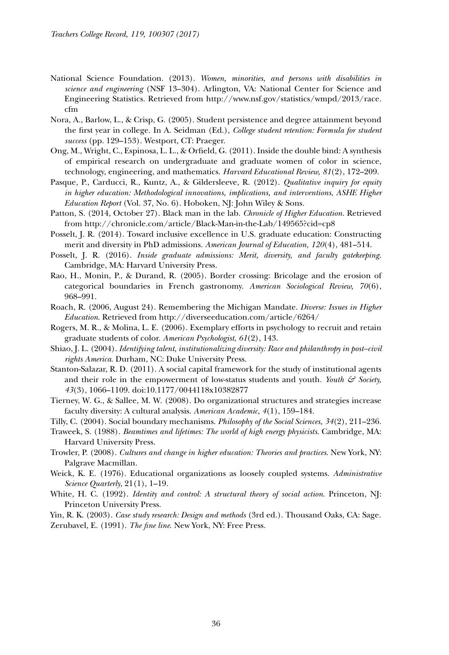- National Science Foundation. (2013). *Women, minorities, and persons with disabilities in science and engineering* (NSF 13–304). Arlington, VA: National Center for Science and Engineering Statistics. Retrieved from http://www.nsf.gov/statistics/wmpd/2013/race. cfm
- Nora, A., Barlow, L., & Crisp, G. (2005). Student persistence and degree attainment beyond the first year in college. In A. Seidman (Ed.), *College student retention: Formula for student success* (pp. 129–153). Westport, CT: Praeger.
- Ong, M., Wright, C., Espinosa, L. L., & Orfield, G. (2011). Inside the double bind: A synthesis of empirical research on undergraduate and graduate women of color in science, technology, engineering, and mathematics. *Harvard Educational Review, 81*(2), 172–209.
- Pasque, P., Carducci, R., Kuntz, A., & Gildersleeve, R. (2012). *Qualitative inquiry for equity in higher education: Methodological innovations, implications, and interventions*, *ASHE Higher Education Report* (Vol. 37, No. 6). Hoboken, NJ: John Wiley & Sons.
- Patton, S. (2014, October 27). Black man in the lab. *Chronicle of Higher Education.* Retrieved from http://chronicle.com/article/Black-Man-in-the-Lab/149565?cid=cp8
- Posselt, J. R. (2014). Toward inclusive excellence in U.S. graduate education: Constructing merit and diversity in PhD admissions. *American Journal of Education, 120*(4), 481–514.
- Posselt, J. R. (2016). *Inside graduate admissions: Merit, diversity, and faculty gatekeeping*. Cambridge, MA: Harvard University Press.
- Rao, H., Monin, P., & Durand, R. (2005). Border crossing: Bricolage and the erosion of categorical boundaries in French gastronomy. *American Sociological Review, 70*(6), 968–991.
- Roach, R. (2006, August 24). Remembering the Michigan Mandate. *Diverse: Issues in Higher Education*. Retrieved from http://diverseeducation.com/article/6264/
- Rogers, M. R., & Molina, L. E. (2006). Exemplary efforts in psychology to recruit and retain graduate students of color. *American Psychologist*, *61*(2), 143.
- Shiao, J. L. (2004). *Identifying talent, institutionalizing diversity: Race and philanthropy in post–civil rights America*. Durham, NC: Duke University Press.
- Stanton-Salazar, R. D. (2011). A social capital framework for the study of institutional agents and their role in the empowerment of low-status students and youth. *Youth & Society*, *43*(3), 1066–1109. doi:10.1177/0044118x10382877
- Tierney, W. G., & Sallee, M. W. (2008). Do organizational structures and strategies increase faculty diversity: A cultural analysis. *American Academic*, *4*(1), 159–184.
- Tilly, C. (2004). Social boundary mechanisms. *Philosophy of the Social Sciences, 34*(2), 211–236.
- Traweek, S. (1988). *Beamtimes and lifetimes: The world of high energy physicists*. Cambridge, MA: Harvard University Press.
- Trowler, P. (2008). *Cultures and change in higher education: Theories and practices*. New York, NY: Palgrave Macmillan.
- Weick, K. E. (1976). Educational organizations as loosely coupled systems. *Administrative Science Quarterly*, 21(1), 1–19.
- White, H. C. (1992). *Identity and control: A structural theory of social action*. Princeton, NJ: Princeton University Press.

Yin, R. K. (2003). *Case study research: Design and methods* (3rd ed.). Thousand Oaks, CA: Sage. Zerubavel, E. (1991). *The fine line*. New York, NY: Free Press.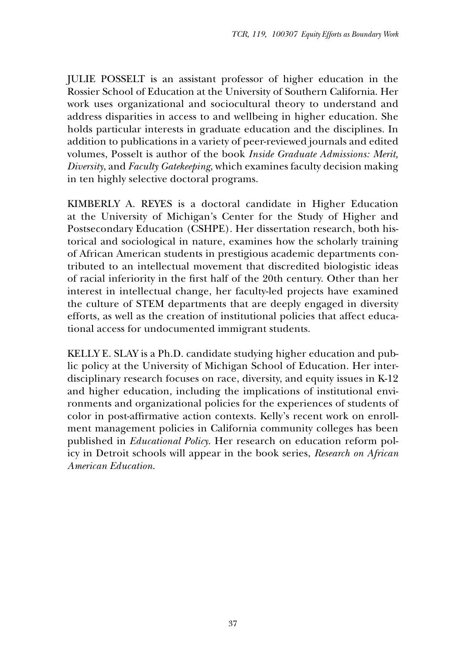JULIE POSSELT is an assistant professor of higher education in the Rossier School of Education at the University of Southern California. Her work uses organizational and sociocultural theory to understand and address disparities in access to and wellbeing in higher education. She holds particular interests in graduate education and the disciplines. In addition to publications in a variety of peer-reviewed journals and edited volumes, Posselt is author of the book *Inside Graduate Admissions: Merit, Diversity*, and *Faculty Gatekeeping*, which examines faculty decision making in ten highly selective doctoral programs.

KIMBERLY A. REYES is a doctoral candidate in Higher Education at the University of Michigan's Center for the Study of Higher and Postsecondary Education (CSHPE). Her dissertation research, both historical and sociological in nature, examines how the scholarly training of African American students in prestigious academic departments contributed to an intellectual movement that discredited biologistic ideas of racial inferiority in the first half of the 20th century. Other than her interest in intellectual change, her faculty-led projects have examined the culture of STEM departments that are deeply engaged in diversity efforts, as well as the creation of institutional policies that affect educational access for undocumented immigrant students.

KELLY E. SLAY is a Ph.D. candidate studying higher education and public policy at the University of Michigan School of Education. Her interdisciplinary research focuses on race, diversity, and equity issues in K-12 and higher education, including the implications of institutional environments and organizational policies for the experiences of students of color in post-affirmative action contexts. Kelly's recent work on enrollment management policies in California community colleges has been published in *Educational Policy*. Her research on education reform policy in Detroit schools will appear in the book series, *Research on African American Education*.